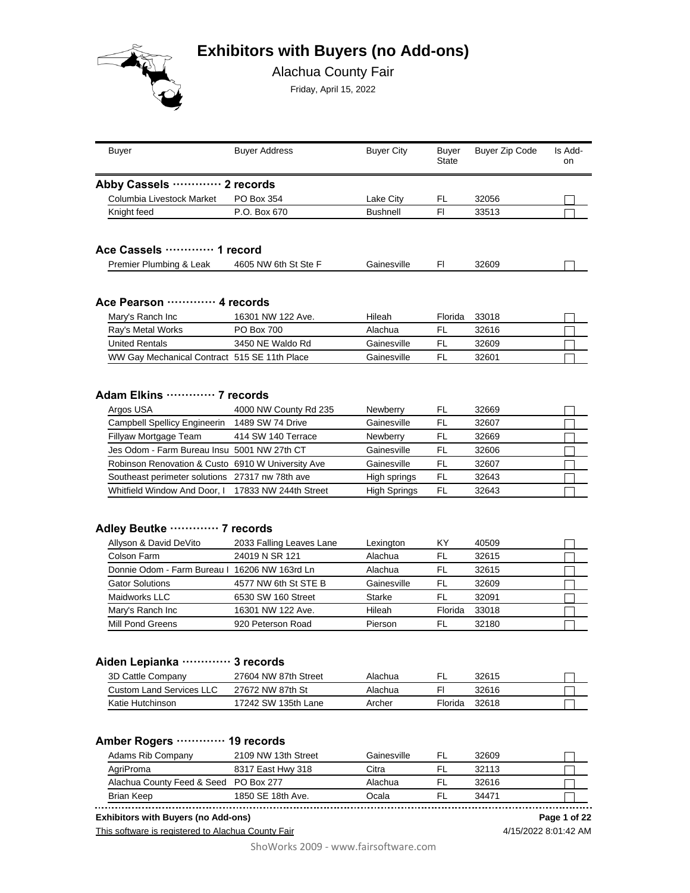# **Exhibitors with Buyers (no Add-ons)**



Alachua County Fair

Friday, April 15, 2022

| <b>Buyer</b>                                      | <b>Buyer Address</b>                  | <b>Buyer City</b>      | Buyer<br><b>State</b> | <b>Buyer Zip Code</b> | Is Add-<br>on |
|---------------------------------------------------|---------------------------------------|------------------------|-----------------------|-----------------------|---------------|
| Abby Cassels ………… 2 records                       |                                       |                        |                       |                       |               |
| Columbia Livestock Market                         | PO Box 354                            | Lake City              | FL.                   | 32056                 |               |
| Knight feed                                       | P.O. Box 670                          | <b>Bushnell</b>        | F1                    | 33513                 |               |
| Ace Cassels  1 record                             |                                       |                        |                       |                       |               |
| Premier Plumbing & Leak                           | 4605 NW 6th St Ste F                  | Gainesville            | FI.                   | 32609                 |               |
| Ace Pearson  4 records                            | 16301 NW 122 Ave.                     | Hileah                 | Florida               | 33018                 |               |
| Mary's Ranch Inc                                  |                                       |                        |                       |                       |               |
| Ray's Metal Works<br><b>United Rentals</b>        | <b>PO Box 700</b><br>3450 NE Waldo Rd | Alachua<br>Gainesville | FL                    | 32616                 |               |
| WW Gay Mechanical Contract 515 SE 11th Place      |                                       | Gainesville            | FL<br><b>FL</b>       | 32609<br>32601        |               |
|                                                   |                                       |                        |                       |                       |               |
| Adam Elkins  7 records                            |                                       |                        |                       |                       |               |
| Argos USA                                         | 4000 NW County Rd 235                 | Newberry               | <b>FL</b>             | 32669                 |               |
| Campbell Spellicy Engineerin 1489 SW 74 Drive     |                                       | Gainesville            | <b>FL</b>             | 32607                 |               |
| Fillyaw Mortgage Team                             | 414 SW 140 Terrace                    | Newberry               | FL                    | 32669                 |               |
| Jes Odom - Farm Bureau Insu 5001 NW 27th CT       |                                       | Gainesville            | <b>FL</b>             | 32606                 |               |
| Robinson Renovation & Custo 6910 W University Ave |                                       | Gainesville            | <b>FL</b>             | 32607                 |               |
| Southeast perimeter solutions 27317 nw 78th ave   |                                       | High springs           | <b>FL</b>             | 32643                 |               |
| Whitfield Window And Door, I                      | 17833 NW 244th Street                 | <b>High Springs</b>    | <b>FL</b>             | 32643                 |               |

#### **Adley Beutke ············· 7 records**

| Allyson & David DeVito                        | 2033 Falling Leaves Lane | Lexington   | KY      | 40509 |  |
|-----------------------------------------------|--------------------------|-------------|---------|-------|--|
| Colson Farm                                   | 24019 N SR 121           | Alachua     | FL      | 32615 |  |
| Donnie Odom - Farm Bureau I 16206 NW 163rd Ln |                          | Alachua     | FI      | 32615 |  |
| <b>Gator Solutions</b>                        | 4577 NW 6th St STE B     | Gainesville | FI.     | 32609 |  |
| Maidworks LLC                                 | 6530 SW 160 Street       | Starke      | FI.     | 32091 |  |
| Mary's Ranch Inc                              | 16301 NW 122 Ave.        | Hileah      | Florida | 33018 |  |
| Mill Pond Greens                              | 920 Peterson Road        | Pierson     |         | 32180 |  |

## **Aiden Lepianka ············· 3 records**

| 3D Cattle Company        | 27604 NW 87th Street | Alachua |         | 32615 |  |
|--------------------------|----------------------|---------|---------|-------|--|
| Custom Land Services LLC | 27672 NW 87th St     | Alachua |         | 32616 |  |
| Katie Hutchinson         | 17242 SW 135th Lane  | Archer  | Florida | 32618 |  |

#### **Amber Rogers ············· 19 records**

| Adams Rib Company                     | 2109 NW 13th Street | Gainesville | -FL | 32609 |  |
|---------------------------------------|---------------------|-------------|-----|-------|--|
| AgriProma                             | 8317 East Hwy 318   | Citra       | -FL | 32113 |  |
| Alachua County Feed & Seed PO Box 277 |                     | Alachua     | FL. | 32616 |  |
| <b>Brian Keep</b>                     | 1850 SE 18th Ave.   | Ocala       | FI  | 34471 |  |
|                                       |                     |             |     |       |  |

**Exhibitors with Buyers (no Add-ons) Page 1 of 22**

This software is registered to Alachua County Fair

4/15/2022 8:01:42 AM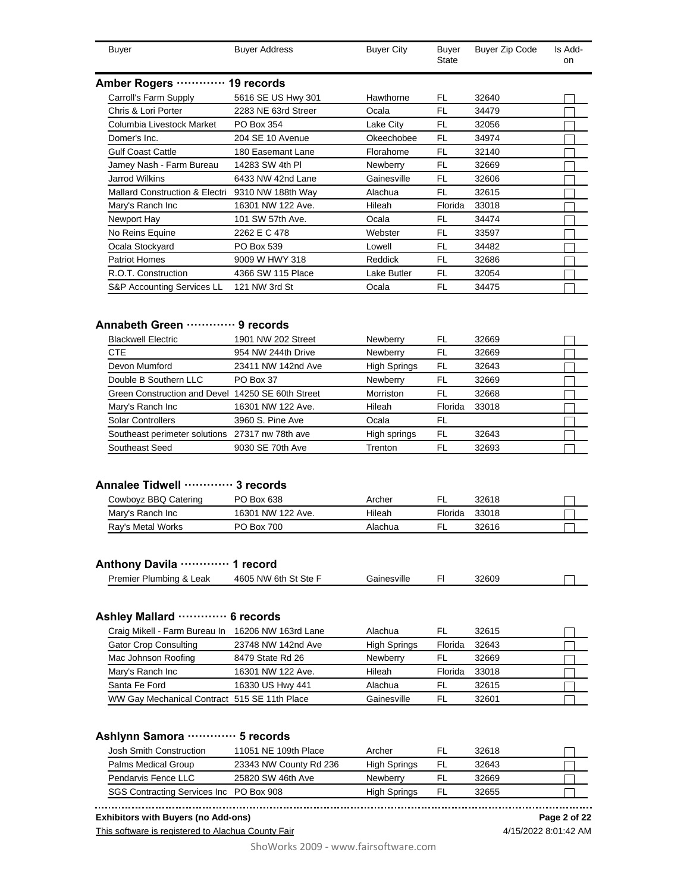| <b>Buyer</b>                                     | <b>Buyer Address</b> | <b>Buyer City</b> | Buyer<br>State | <b>Buyer Zip Code</b> | Is Add-<br>on |
|--------------------------------------------------|----------------------|-------------------|----------------|-----------------------|---------------|
| <b>Amber Rogers</b>                              | 19 records           |                   |                |                       |               |
| Carroll's Farm Supply                            | 5616 SE US Hwy 301   | Hawthorne         | FL             | 32640                 |               |
| Chris & Lori Porter                              | 2283 NE 63rd Streer  | Ocala             | FL             | 34479                 |               |
| Columbia Livestock Market                        | PO Box 354           | Lake City         | FL             | 32056                 |               |
| Domer's Inc.                                     | 204 SE 10 Avenue     | Okeechobee        | FL             | 34974                 |               |
| <b>Gulf Coast Cattle</b>                         | 180 Easemant Lane    | Florahome         | FL             | 32140                 |               |
| Jamey Nash - Farm Bureau                         | 14283 SW 4th PI      | Newberry          | FL             | 32669                 |               |
| <b>Jarrod Wilkins</b>                            | 6433 NW 42nd Lane    | Gainesville       | FL             | 32606                 |               |
| Mallard Construction & Electri 9310 NW 188th Way |                      | Alachua           | FL             | 32615                 |               |
| Mary's Ranch Inc                                 | 16301 NW 122 Ave.    | Hileah            | Florida        | 33018                 |               |
| Newport Hay                                      | 101 SW 57th Ave.     | Ocala             | FL             | 34474                 |               |
| No Reins Equine                                  | 2262 E C 478         | Webster           | FL             | 33597                 |               |
| Ocala Stockyard                                  | PO Box 539           | Lowell            | <b>FL</b>      | 34482                 |               |
| <b>Patriot Homes</b>                             | 9009 W HWY 318       | Reddick           | FL             | 32686                 |               |
| R.O.T. Construction                              | 4366 SW 115 Place    | Lake Butler       | FL             | 32054                 |               |
| S&P Accounting Services LL                       | 121 NW 3rd St        | Ocala             | FL             | 34475                 |               |

## **Annabeth Green ············· 9 records**

| <b>Blackwell Electric</b>                         | 1901 NW 202 Street | Newberry            | FL      | 32669 |  |
|---------------------------------------------------|--------------------|---------------------|---------|-------|--|
| <b>CTE</b>                                        | 954 NW 244th Drive | Newberry            | FL      | 32669 |  |
| Devon Mumford                                     | 23411 NW 142nd Ave | <b>High Springs</b> | FL      | 32643 |  |
| Double B Southern LLC                             | PO Box 37          | Newberry            | FL      | 32669 |  |
| Green Construction and Devel 14250 SE 60th Street |                    | Morriston           | FL      | 32668 |  |
| Mary's Ranch Inc                                  | 16301 NW 122 Ave.  | Hileah              | Florida | 33018 |  |
| Solar Controllers                                 | 3960 S. Pine Ave   | Ocala               | FL      |       |  |
| Southeast perimeter solutions 27317 nw 78th ave   |                    | High springs        | FL      | 32643 |  |
| Southeast Seed                                    | 9030 SE 70th Ave   | Trenton             | FI.     | 32693 |  |

#### **Annalee Tidwell ············· 3 records**

| Cowboyz BBQ Catering | PO Box 638        | Archer  | -       | 32618 |  |
|----------------------|-------------------|---------|---------|-------|--|
| Mary's Ranch Inc     | 16301 NW 122 Ave. | Hileah  | Florida | 33018 |  |
| Ray's Metal Works    | PO Box 700        | Alachua |         | 32616 |  |

## **Anthony Davila ············· 1 record**

|  | <b>Premier Plumbing</b><br>o<br>.eak<br>ΙŌκ | 4605 NW<br>6th St Ste | Gainesville |  | 32609 |  |
|--|---------------------------------------------|-----------------------|-------------|--|-------|--|
|--|---------------------------------------------|-----------------------|-------------|--|-------|--|

#### **Ashley Mallard ············· 6 records**

| Craig Mikell - Farm Bureau In 16206 NW 163rd Lane |                    | Alachua             | FL      | 32615 |  |
|---------------------------------------------------|--------------------|---------------------|---------|-------|--|
| <b>Gator Crop Consulting</b>                      | 23748 NW 142nd Ave | <b>High Springs</b> | Florida | 32643 |  |
| Mac Johnson Roofing                               | 8479 State Rd 26   | Newberry            | -FL     | 32669 |  |
| Mary's Ranch Inc                                  | 16301 NW 122 Ave.  | Hileah              | Florida | 33018 |  |
| Santa Fe Ford                                     | 16330 US Hwy 441   | Alachua             | FL.     | 32615 |  |
| WW Gay Mechanical Contract 515 SE 11th Place      |                    | Gainesville         | FL.     | 32601 |  |

## **Ashlynn Samora ············· 5 records**

| Josh Smith Construction                 | 11051 NE 109th Place   | Archer          |    | 32618 |  |
|-----------------------------------------|------------------------|-----------------|----|-------|--|
| Palms Medical Group                     | 23343 NW County Rd 236 | High Springs    | FL | 32643 |  |
| Pendarvis Fence LLC                     | 25820 SW 46th Ave      | <b>Newberry</b> |    | 32669 |  |
| SGS Contracting Services Inc PO Box 908 |                        | High Springs    | FL | 32655 |  |

#### **Exhibitors with Buyers (no Add-ons)**

This software is registered to Alachua County Fair

**Page 2 of 22**

ShoWorks 2009 - www.fairsoftware.com

4/15/2022 8:01:42 AM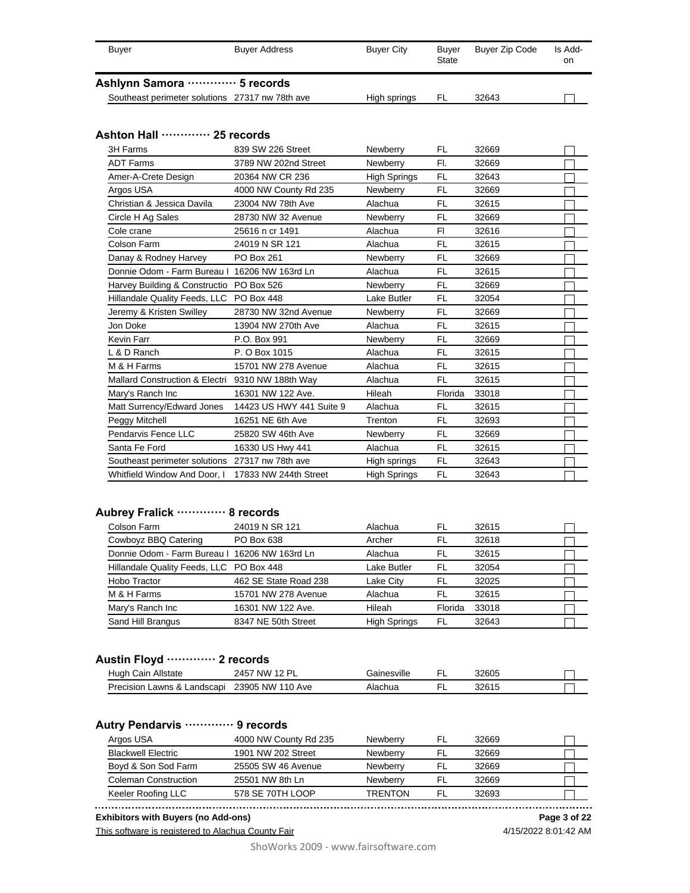| Buver | <b>Buyer Address</b>                            | <b>Buyer City</b> | Buver<br>State | Buyer Zip Code | Is Add-<br>on |
|-------|-------------------------------------------------|-------------------|----------------|----------------|---------------|
|       | Ashlynn Samora ………… 5 records                   |                   |                |                |               |
|       | Southeast perimeter solutions 27317 nw 78th ave | High springs      | FL             | 32643          |               |

#### **Ashton Hall ············· 25 records**

| 3H Farms                                         | 839 SW 226 Street        | Newberry            | FL        | 32669 |  |
|--------------------------------------------------|--------------------------|---------------------|-----------|-------|--|
| <b>ADT Farms</b>                                 | 3789 NW 202nd Street     | Newberry            | FI.       | 32669 |  |
| Amer-A-Crete Design                              | 20364 NW CR 236          | <b>High Springs</b> | <b>FL</b> | 32643 |  |
| Argos USA                                        | 4000 NW County Rd 235    | Newberry            | <b>FL</b> | 32669 |  |
| Christian & Jessica Davila                       | 23004 NW 78th Ave        | Alachua             | <b>FL</b> | 32615 |  |
| Circle H Ag Sales                                | 28730 NW 32 Avenue       | Newberry            | <b>FL</b> | 32669 |  |
| Cole crane                                       | 25616 n cr 1491          | Alachua             | FI.       | 32616 |  |
| Colson Farm                                      | 24019 N SR 121           | Alachua             | FL        | 32615 |  |
| Danay & Rodney Harvey                            | PO Box 261               | Newberry            | <b>FL</b> | 32669 |  |
| Donnie Odom - Farm Bureau I 16206 NW 163rd Ln    |                          | Alachua             | <b>FL</b> | 32615 |  |
| Harvey Building & Constructio PO Box 526         |                          | Newberry            | <b>FL</b> | 32669 |  |
| Hillandale Quality Feeds, LLC PO Box 448         |                          | Lake Butler         | <b>FL</b> | 32054 |  |
| Jeremy & Kristen Swilley                         | 28730 NW 32nd Avenue     | Newberry            | <b>FL</b> | 32669 |  |
| Jon Doke                                         | 13904 NW 270th Ave       | Alachua             | FL        | 32615 |  |
| Kevin Farr                                       | P.O. Box 991             | Newberry            | <b>FL</b> | 32669 |  |
| L & D Ranch                                      | P. O Box 1015            | Alachua             | <b>FL</b> | 32615 |  |
| M & H Farms                                      | 15701 NW 278 Avenue      | Alachua             | FL        | 32615 |  |
| Mallard Construction & Electri 9310 NW 188th Way |                          | Alachua             | <b>FL</b> | 32615 |  |
| Mary's Ranch Inc                                 | 16301 NW 122 Ave.        | Hileah              | Florida   | 33018 |  |
| Matt Surrency/Edward Jones                       | 14423 US HWY 441 Suite 9 | Alachua             | FL        | 32615 |  |
| Peggy Mitchell                                   | 16251 NE 6th Ave         | Trenton             | <b>FL</b> | 32693 |  |
| Pendarvis Fence LLC                              | 25820 SW 46th Ave        | Newberry            | <b>FL</b> | 32669 |  |
| Santa Fe Ford                                    | 16330 US Hwy 441         | Alachua             | <b>FL</b> | 32615 |  |
| Southeast perimeter solutions 27317 nw 78th ave  |                          | High springs        | <b>FL</b> | 32643 |  |
| Whitfield Window And Door, I                     | 17833 NW 244th Street    | High Springs        | <b>FL</b> | 32643 |  |

## **Aubrey Fralick ············· 8 records**

| Colson Farm                                   | 24019 N SR 121        | Alachua             | FL      | 32615 |  |
|-----------------------------------------------|-----------------------|---------------------|---------|-------|--|
| Cowboyz BBQ Catering                          | PO Box 638            | Archer              | FI      | 32618 |  |
| Donnie Odom - Farm Bureau I 16206 NW 163rd Ln |                       | Alachua             | FL      | 32615 |  |
| Hillandale Quality Feeds, LLC PO Box 448      |                       | Lake Butler         | FL      | 32054 |  |
| Hobo Tractor                                  | 462 SE State Road 238 | Lake City           | FL      | 32025 |  |
| M & H Farms                                   | 15701 NW 278 Avenue   | Alachua             | FI      | 32615 |  |
| Mary's Ranch Inc                              | 16301 NW 122 Ave.     | Hileah              | Florida | 33018 |  |
| Sand Hill Brangus                             | 8347 NE 50th Street   | <b>High Springs</b> | FL      | 32643 |  |

## **Austin Floyd ············· 2 records**

| Allstate<br>Cain<br>Hugh        | . NW<br>12 PI<br>2457 | Bainesville |   | 32605   |  |
|---------------------------------|-----------------------|-------------|---|---------|--|
| Precision.<br>Lawns & Landscapi | 23905 NW 110 Ave      | Alachua     | − | 2つぬ 1 1 |  |

#### **Autry Pendarvis ············· 9 records**

| Argos USA                   | 4000 NW County Rd 235 | <b>Newberry</b> |     | 32669 |  |
|-----------------------------|-----------------------|-----------------|-----|-------|--|
| <b>Blackwell Electric</b>   | 1901 NW 202 Street    | <b>Newberry</b> | -FL | 32669 |  |
| Boyd & Son Sod Farm         | 25505 SW 46 Avenue    | <b>Newberry</b> |     | 32669 |  |
| <b>Coleman Construction</b> | 25501 NW 8th Ln       | <b>Newberry</b> |     | 32669 |  |
| Keeler Roofing LLC          | 578 SE 70TH LOOP      | <b>TRENTON</b>  | FI  | 32693 |  |

**Exhibitors with Buyers (no Add-ons) Page 3 of 22**

This software is registered to Alachua County Fair

4/15/2022 8:01:42 AM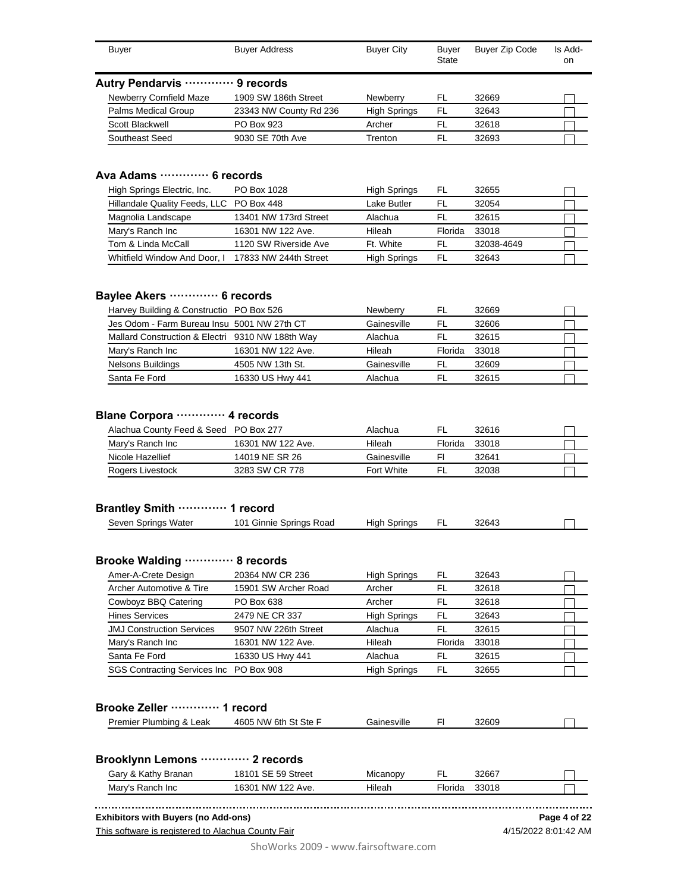| Buyer                          | <b>Buyer Address</b>   | <b>Buyer City</b>   | Buyer<br><b>State</b> | <b>Buyer Zip Code</b> | Is Add-<br>on |
|--------------------------------|------------------------|---------------------|-----------------------|-----------------------|---------------|
| Autry Pendarvis ………… 9 records |                        |                     |                       |                       |               |
| <b>Newberry Cornfield Maze</b> | 1909 SW 186th Street   | Newberry            | FL                    | 32669                 |               |
| <b>Palms Medical Group</b>     | 23343 NW County Rd 236 | <b>High Springs</b> | -FL                   | 32643                 |               |
| Scott Blackwell                | PO Box 923             | Archer              | FL                    | 32618                 |               |
| Southeast Seed                 | 9030 SE 70th Ave       | Trenton             | FL                    | 32693                 |               |

## **Ava Adams ············· 6 records**

| High Springs Electric, Inc.              | PO Box 1028           | <b>High Springs</b> | FL      | 32655      |  |
|------------------------------------------|-----------------------|---------------------|---------|------------|--|
| Hillandale Quality Feeds, LLC PO Box 448 |                       | Lake Butler         | FL      | 32054      |  |
| Magnolia Landscape                       | 13401 NW 173rd Street | Alachua             | FL      | 32615      |  |
| Mary's Ranch Inc                         | 16301 NW 122 Ave.     | Hileah              | Florida | 33018      |  |
| Tom & Linda McCall                       | 1120 SW Riverside Ave | Ft. White           | FI.     | 32038-4649 |  |
| Whitfield Window And Door, I             | 17833 NW 244th Street | <b>High Springs</b> | FL      | 32643      |  |

## **Baylee Akers ············· 6 records**

| Harvey Building & Constructio PO Box 526         |                   | <b>Newberry</b> | FL.     | 32669 |  |
|--------------------------------------------------|-------------------|-----------------|---------|-------|--|
| Jes Odom - Farm Bureau Insu 5001 NW 27th CT      |                   | Gainesville     | FI      | 32606 |  |
| Mallard Construction & Electri 9310 NW 188th Way |                   | Alachua         | FI      | 32615 |  |
| Mary's Ranch Inc                                 | 16301 NW 122 Ave. | Hileah          | Florida | 33018 |  |
| Nelsons Buildings                                | 4505 NW 13th St.  | Gainesville     | FI.     | 32609 |  |
| Santa Fe Ford                                    | 16330 US Hwy 441  | Alachua         | FI      | 32615 |  |

## **Blane Corpora ············· 4 records**

| Alachua County Feed & Seed PO Box 277 |                   | Alachua     | FI.     | 32616 |  |
|---------------------------------------|-------------------|-------------|---------|-------|--|
| Mary's Ranch Inc                      | 16301 NW 122 Ave. | Hileah      | Florida | 33018 |  |
| Nicole Hazellief                      | 14019 NE SR 26    | Gainesville | FI      | 32641 |  |
| Rogers Livestock                      | 3283 SW CR 778    | Fort White  | FL.     | 32038 |  |

#### **Brantley Smith ············· 1 record**

|  | Water<br>seven '<br>Springs | 101<br>Springs<br>Road<br>Ginnie | Springs<br>Hiah |  | 32643 |  |  |
|--|-----------------------------|----------------------------------|-----------------|--|-------|--|--|
|--|-----------------------------|----------------------------------|-----------------|--|-------|--|--|

#### **Brooke Walding ············· 8 records**

| Amer-A-Crete Design                     | 20364 NW CR 236      | <b>High Springs</b> | FL      | 32643 |  |
|-----------------------------------------|----------------------|---------------------|---------|-------|--|
| Archer Automotive & Tire                | 15901 SW Archer Road | Archer              | FL      | 32618 |  |
| Cowboyz BBQ Catering                    | PO Box 638           | Archer              | FL      | 32618 |  |
| <b>Hines Services</b>                   | 2479 NE CR 337       | <b>High Springs</b> | FL      | 32643 |  |
| <b>JMJ Construction Services</b>        | 9507 NW 226th Street | Alachua             | FL      | 32615 |  |
| Mary's Ranch Inc                        | 16301 NW 122 Ave.    | Hileah              | Florida | 33018 |  |
| Santa Fe Ford                           | 16330 US Hwy 441     | Alachua             | FL      | 32615 |  |
| SGS Contracting Services Inc PO Box 908 |                      | <b>High Springs</b> | FL      | 32655 |  |

## **Brooke Zeller ············· 1 record**

| Premier Plumbing &<br>Leak | 4605 NW 6th St Ste F | Gainesville | 32609 |  |
|----------------------------|----------------------|-------------|-------|--|
|                            |                      |             |       |  |

#### **Brooklynn Lemons ············· 2 records**

| & Kathy Branan<br>3arv | 59 Street<br>SЕ                | Micanopy |         | 32667 |  |
|------------------------|--------------------------------|----------|---------|-------|--|
| Mary's Ranch Inc       | <b>NW</b><br>16301<br>122 Ave. | Hileah   | Florida | 33018 |  |

**Exhibitors with Buyers (no Add-ons)**

This software is registered to Alachua County Fair

**Page 4 of 22**

4/15/2022 8:01:42 AM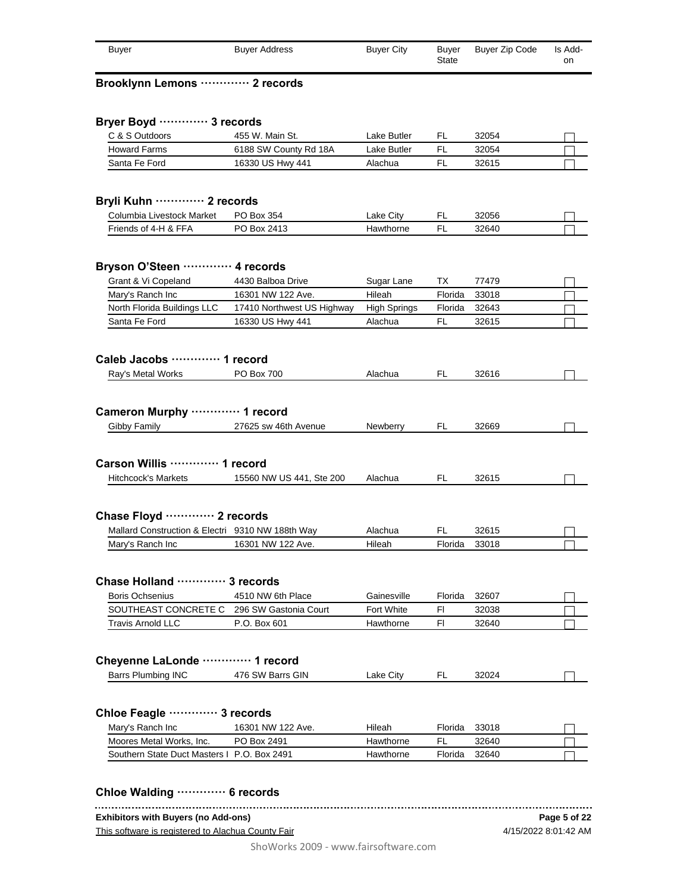| Buver                       | <b>Buyer Address</b> | <b>Buyer City</b> | Buver<br>State | Buyer Zip Code | Is Add-<br>on |
|-----------------------------|----------------------|-------------------|----------------|----------------|---------------|
| Brooklynn Lemons  2 records |                      |                   |                |                |               |

| Lake Butler<br>6188 SW County Rd 18A<br>Lake Butler<br>Alachua | FL<br>FL<br>FL                                                                                                | 32054                      |                |
|----------------------------------------------------------------|---------------------------------------------------------------------------------------------------------------|----------------------------|----------------|
|                                                                |                                                                                                               |                            |                |
|                                                                |                                                                                                               | 32054                      |                |
|                                                                |                                                                                                               | 32615                      |                |
|                                                                |                                                                                                               |                            |                |
|                                                                |                                                                                                               |                            |                |
| Lake City                                                      | FL                                                                                                            | 32056                      |                |
| Hawthorne                                                      |                                                                                                               | 32640                      |                |
|                                                                |                                                                                                               |                            |                |
|                                                                |                                                                                                               |                            |                |
|                                                                |                                                                                                               |                            |                |
|                                                                | Florida                                                                                                       | 32643                      |                |
| Alachua                                                        | FL                                                                                                            | 32615                      |                |
|                                                                |                                                                                                               |                            |                |
|                                                                |                                                                                                               |                            |                |
| Alachua                                                        | FL                                                                                                            | 32616                      |                |
|                                                                | FL.                                                                                                           | 32669                      |                |
|                                                                |                                                                                                               |                            |                |
|                                                                |                                                                                                               |                            |                |
|                                                                |                                                                                                               |                            |                |
|                                                                |                                                                                                               |                            |                |
| 15560 NW US 441, Ste 200<br>Alachua                            | FL                                                                                                            | 32615                      |                |
|                                                                |                                                                                                               |                            |                |
|                                                                |                                                                                                               |                            |                |
|                                                                |                                                                                                               |                            |                |
| Alachua                                                        | FL                                                                                                            | 32615                      |                |
| Hileah                                                         | Florida                                                                                                       | 33018                      |                |
|                                                                |                                                                                                               |                            |                |
|                                                                |                                                                                                               |                            |                |
| Gainesville                                                    | Florida                                                                                                       | 32607                      |                |
| Fort White<br>296 SW Gastonia Court                            | FI                                                                                                            | 32038                      |                |
| Hawthorne                                                      | FI                                                                                                            | 32640                      |                |
|                                                                |                                                                                                               |                            |                |
|                                                                |                                                                                                               |                            |                |
|                                                                |                                                                                                               |                            |                |
| Lake City                                                      | FL                                                                                                            | 32024                      |                |
|                                                                |                                                                                                               |                            |                |
|                                                                |                                                                                                               |                            |                |
| Hileah                                                         | Florida                                                                                                       | 33018                      |                |
| Hawthorne                                                      | FL                                                                                                            | 32640                      |                |
|                                                                | Sugar Lane<br>Hileah<br>17410 Northwest US Highway<br><b>High Springs</b><br>27625 sw 46th Avenue<br>Newberry | <b>FL</b><br>ТX<br>Florida | 77479<br>33018 |

#### **Chloe Walding ············· 6 records** This software is registered to Alachua County Fair **Exhibitors with Buyers (no Add-ons)** 4/15/2022 8:01:42 AM **Page 5 of 22**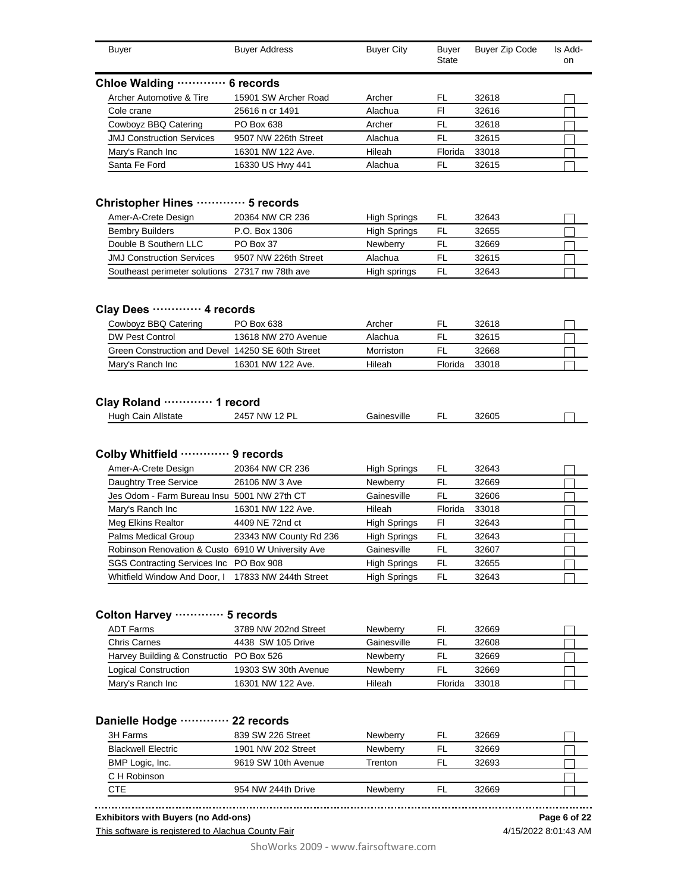| <b>Buyer</b>                                                                                                                                               | <b>Buyer Address</b>              | <b>Buyer City</b>                          | <b>Buver</b><br>State | <b>Buyer Zip Code</b>   | Is Add-<br>on |
|------------------------------------------------------------------------------------------------------------------------------------------------------------|-----------------------------------|--------------------------------------------|-----------------------|-------------------------|---------------|
| Chloe Walding  6 records                                                                                                                                   |                                   |                                            |                       |                         |               |
| Archer Automotive & Tire                                                                                                                                   | 15901 SW Archer Road              | Archer                                     | FL                    | 32618                   |               |
| Cole crane                                                                                                                                                 | 25616 n cr 1491                   | Alachua                                    | FI.                   | 32616                   |               |
| Cowboyz BBQ Catering                                                                                                                                       | PO Box 638                        | Archer                                     | FL                    | 32618                   |               |
| <b>JMJ Construction Services</b>                                                                                                                           | 9507 NW 226th Street              | Alachua                                    | <b>FL</b>             | 32615                   |               |
| Mary's Ranch Inc                                                                                                                                           | 16301 NW 122 Ave.                 | Hileah                                     | Florida               | 33018                   |               |
| Santa Fe Ford                                                                                                                                              | 16330 US Hwy 441                  | Alachua                                    | FL                    | 32615                   |               |
| Christopher Hines  5 records                                                                                                                               |                                   |                                            |                       |                         |               |
| Amer-A-Crete Design                                                                                                                                        | 20364 NW CR 236                   | <b>High Springs</b>                        | FL                    | 32643                   |               |
| <b>Bembry Builders</b>                                                                                                                                     | P.O. Box 1306                     | <b>High Springs</b>                        | FL                    | 32655                   |               |
| Double B Southern LLC                                                                                                                                      | PO Box 37                         | Newberry                                   | FL                    | 32669                   |               |
| <b>JMJ Construction Services</b>                                                                                                                           | 9507 NW 226th Street              | Alachua                                    | <b>FL</b>             | 32615                   |               |
| Southeast perimeter solutions 27317 nw 78th ave                                                                                                            |                                   | High springs                               | <b>FL</b>             | 32643                   |               |
| Cowboyz BBQ Catering<br><b>DW Pest Control</b>                                                                                                             | PO Box 638<br>13618 NW 270 Avenue | Archer<br>Alachua<br>Morriston             | FL<br>FL<br>FL        | 32618<br>32615<br>32668 |               |
| Green Construction and Devel 14250 SE 60th Street<br>Mary's Ranch Inc                                                                                      | 16301 NW 122 Ave.                 | Hileah                                     | Florida               | 33018                   |               |
| Hugh Cain Allstate                                                                                                                                         | 2457 NW 12 PL                     | Gainesville                                | FL                    | 32605                   |               |
|                                                                                                                                                            |                                   |                                            |                       |                         |               |
| Amer-A-Crete Design                                                                                                                                        | 20364 NW CR 236<br>26106 NW 3 Ave | <b>High Springs</b>                        | FL<br>FL              | 32643<br>32669          |               |
| Daughtry Tree Service                                                                                                                                      |                                   | Newberry                                   | FL                    |                         |               |
| Jes Odom - Farm Bureau Insu 5001 NW 27th CT                                                                                                                |                                   | Gainesville                                |                       | 32606                   |               |
| Mary's Ranch Inc                                                                                                                                           | 16301 NW 122 Ave.                 | Hileah                                     | Florida               | 33018                   |               |
| Meg Elkins Realtor                                                                                                                                         | 4409 NE 72nd ct                   | <b>High Springs</b>                        | FI                    | 32643                   |               |
| Palms Medical Group                                                                                                                                        | 23343 NW County Rd 236            | High Springs                               | FL                    | 32643                   |               |
| Robinson Renovation & Custo 6910 W University Ave                                                                                                          |                                   | Gainesville                                | FL                    | 32607                   |               |
| Clay Dees  4 records<br>Clay Roland ………… 1 record<br>Colby Whitfield  9 records<br>SGS Contracting Services Inc PO Box 908<br>Whitfield Window And Door, I | 17833 NW 244th Street             | <b>High Springs</b><br><b>High Springs</b> | FL<br>FL              | 32655<br>32643          |               |

| ADT Farms                                | 3789 NW 202nd Street | Newberry        | EI.            | 32669 |  |
|------------------------------------------|----------------------|-----------------|----------------|-------|--|
| Chris Carnes                             | 4438 SW 105 Drive    | Gainesville     | FI.            | 32608 |  |
| Harvey Building & Constructio PO Box 526 |                      | Newberry        | FI.            | 32669 |  |
| Logical Construction                     | 19303 SW 30th Avenue | <b>Newberry</b> | ۲ı             | 32669 |  |
| Mary's Ranch Inc                         | 16301 NW 122 Ave.    | Hileah          | <b>Florida</b> | 33018 |  |

## **Danielle Hodge ············· 22 records**

| 3H Farms                  | 839 SW 226 Street   | <b>Newberry</b> | ۴L | 32669 |  |
|---------------------------|---------------------|-----------------|----|-------|--|
| <b>Blackwell Electric</b> | 1901 NW 202 Street  | <b>Newberry</b> | FL | 32669 |  |
| BMP Logic, Inc.           | 9619 SW 10th Avenue | Trenton         |    | 32693 |  |
| C H Robinson              |                     |                 |    |       |  |
| CTE                       | 954 NW 244th Drive  | <b>Newberry</b> |    | 32669 |  |

**Exhibitors with Buyers (no Add-ons)**

4/15/2022 8:01:43 AM **Page 6 of 22**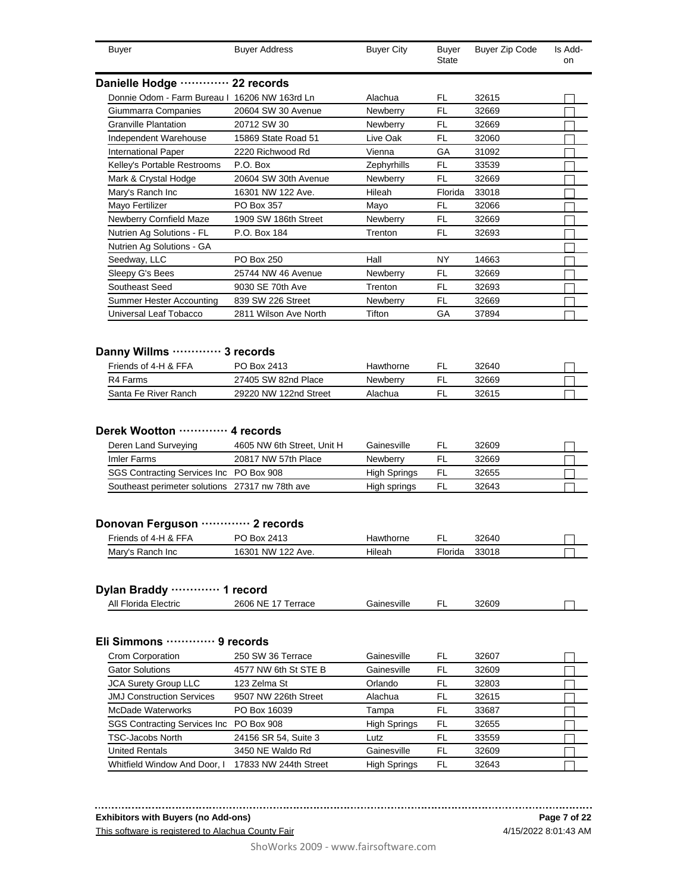| Buyer                                                                                                                                  | <b>Buyer Address</b>                              | <b>Buyer City</b>                              | <b>Buyer</b><br>State | Buyer Zip Code          | Is Add-<br>on |
|----------------------------------------------------------------------------------------------------------------------------------------|---------------------------------------------------|------------------------------------------------|-----------------------|-------------------------|---------------|
| Danielle Hodge ………… 22 records                                                                                                         |                                                   |                                                |                       |                         |               |
| Donnie Odom - Farm Bureau I 16206 NW 163rd Ln                                                                                          |                                                   | Alachua                                        | FL                    | 32615                   |               |
| Giummarra Companies                                                                                                                    | 20604 SW 30 Avenue                                | Newberry                                       | FL                    | 32669                   |               |
| <b>Granville Plantation</b>                                                                                                            | 20712 SW 30                                       | Newberry                                       | FL                    | 32669                   |               |
| Independent Warehouse                                                                                                                  | 15869 State Road 51                               | Live Oak                                       | FL                    | 32060                   |               |
| <b>International Paper</b>                                                                                                             | 2220 Richwood Rd                                  | Vienna                                         | GА                    | 31092                   |               |
| Kelley's Portable Restrooms                                                                                                            | P.O. Box                                          | Zephyrhills                                    | FL                    | 33539                   |               |
| Mark & Crystal Hodge                                                                                                                   | 20604 SW 30th Avenue                              | Newberry                                       | FL                    | 32669                   |               |
| Mary's Ranch Inc                                                                                                                       | 16301 NW 122 Ave.                                 | Hileah                                         | Florida               | 33018                   |               |
| Mayo Fertilizer                                                                                                                        | PO Box 357                                        | Mayo                                           | FL                    | 32066                   |               |
| Newberry Cornfield Maze                                                                                                                | 1909 SW 186th Street                              | <b>Newberry</b>                                | FL                    | 32669                   |               |
| Nutrien Ag Solutions - FL                                                                                                              | P.O. Box 184                                      | Trenton                                        | FL                    | 32693                   |               |
| Nutrien Ag Solutions - GA                                                                                                              |                                                   |                                                |                       |                         |               |
| Seedway, LLC                                                                                                                           | PO Box 250                                        | Hall                                           | NY                    | 14663                   |               |
| Sleepy G's Bees                                                                                                                        | 25744 NW 46 Avenue                                | Newberry                                       | FL                    | 32669                   |               |
| Southeast Seed                                                                                                                         | 9030 SE 70th Ave                                  | Trenton                                        | FL                    | 32693                   |               |
| <b>Summer Hester Accounting</b>                                                                                                        | 839 SW 226 Street                                 | <b>Newberry</b>                                | FL                    | 32669                   |               |
| Universal Leaf Tobacco                                                                                                                 | 2811 Wilson Ave North                             | Tifton                                         | GА                    | 37894                   |               |
| Danny Willms ………… 3 records<br>Friends of 4-H & FFA<br>R4 Farms                                                                        | PO Box 2413<br>27405 SW 82nd Place                | Hawthorne<br>Newberry                          | FL<br>FL              | 32640<br>32669          |               |
| Santa Fe River Ranch                                                                                                                   | 29220 NW 122nd Street                             | Alachua                                        | FL                    | 32615                   |               |
|                                                                                                                                        |                                                   |                                                |                       |                         |               |
| Deren Land Surveying<br><b>Imler Farms</b><br>SGS Contracting Services Inc PO Box 908                                                  | 4605 NW 6th Street, Unit H<br>20817 NW 57th Place | Gainesville<br>Newberry<br><b>High Springs</b> | FL<br>FL<br>FL        | 32609<br>32669<br>32655 |               |
| Southeast perimeter solutions 27317 nw 78th ave<br>Friends of 4-H & FFA<br>Mary's Ranch Inc                                            | PO Box 2413<br>16301 NW 122 Ave.                  | High springs<br>Hawthorne<br>Hileah            | FL<br>FL<br>Florida   | 32643<br>32640<br>33018 |               |
| All Florida Electric                                                                                                                   | 2606 NE 17 Terrace                                | Gainesville                                    | FL                    | 32609                   |               |
|                                                                                                                                        |                                                   |                                                |                       |                         |               |
| Crom Corporation                                                                                                                       | 250 SW 36 Terrace                                 | Gainesville                                    | FL                    | 32607                   |               |
| <b>Gator Solutions</b>                                                                                                                 | 4577 NW 6th St STE B                              | Gainesville                                    | FL                    | 32609                   |               |
| <b>JCA Surety Group LLC</b>                                                                                                            | 123 Zelma St                                      | Orlando                                        | FL                    | 32803                   |               |
| <b>JMJ Construction Services</b>                                                                                                       | 9507 NW 226th Street                              | Alachua                                        | FL                    | 32615                   |               |
| <b>McDade Waterworks</b>                                                                                                               | PO Box 16039                                      | Tampa                                          | FL                    | 33687                   |               |
| SGS Contracting Services Inc PO Box 908                                                                                                |                                                   | <b>High Springs</b>                            | FL                    | 32655                   |               |
| Derek Wootton  4 records<br>Donovan Ferguson  2 records<br>Dylan Braddy  1 record<br>Eli Simmons  9 records<br><b>TSC-Jacobs North</b> | 24156 SR 54, Suite 3                              | Lutz                                           | FL                    | 33559                   |               |
| <b>United Rentals</b><br>Whitfield Window And Door, I                                                                                  | 3450 NE Waldo Rd<br>17833 NW 244th Street         | Gainesville<br><b>High Springs</b>             | FL<br>FL              | 32609<br>32643          |               |

**Exhibitors with Buyers (no Add-ons)**

This software is registered to Alachua County Fair

4/15/2022 8:01:43 AM **Page 7 of 22**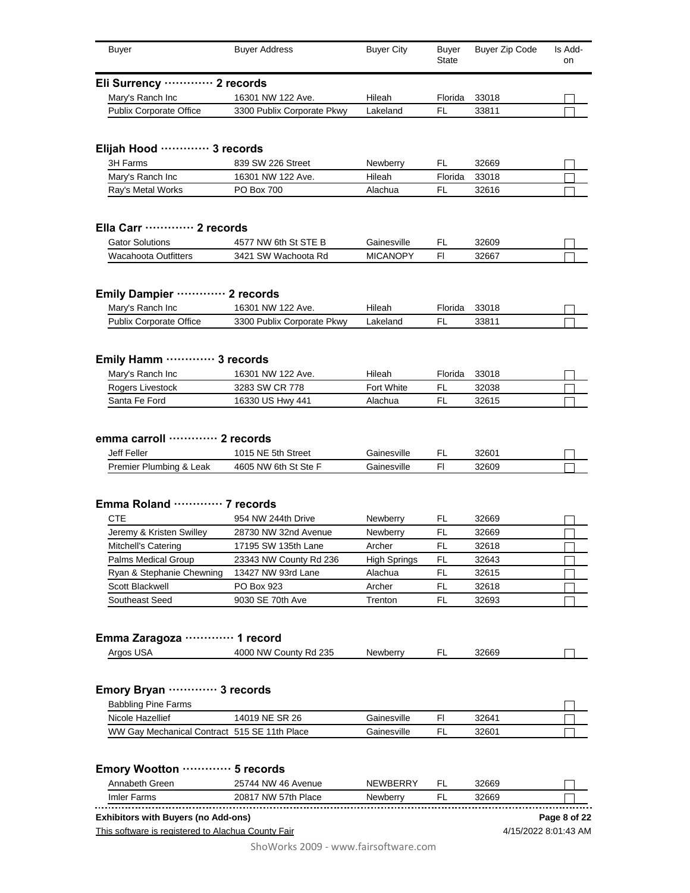| <b>Buyer</b>                                                                                     | <b>Buyer Address</b>                       | <b>Buyer City</b>          | <b>Buyer</b><br>State | <b>Buyer Zip Code</b> | Is Add-<br>on                        |
|--------------------------------------------------------------------------------------------------|--------------------------------------------|----------------------------|-----------------------|-----------------------|--------------------------------------|
| Eli Surrency ············· 2 records                                                             |                                            |                            |                       |                       |                                      |
| Mary's Ranch Inc                                                                                 | 16301 NW 122 Ave.                          | Hileah                     | Florida               | 33018                 |                                      |
| <b>Publix Corporate Office</b>                                                                   | 3300 Publix Corporate Pkwy                 | Lakeland                   | <b>FL</b>             | 33811                 |                                      |
| Elijah Hood ………… 3 records                                                                       |                                            |                            |                       |                       |                                      |
| 3H Farms                                                                                         | 839 SW 226 Street                          | Newberry                   | FL                    | 32669                 |                                      |
| Mary's Ranch Inc                                                                                 | 16301 NW 122 Ave.                          | Hileah                     | Florida               | 33018                 |                                      |
| Ray's Metal Works                                                                                | <b>PO Box 700</b>                          | Alachua                    | FL                    | 32616                 |                                      |
| Ella Carr ………… 2 records                                                                         |                                            |                            |                       |                       |                                      |
| <b>Gator Solutions</b>                                                                           | 4577 NW 6th St STE B                       | Gainesville                | FL                    | 32609                 |                                      |
| <b>Wacahoota Outfitters</b>                                                                      | 3421 SW Wachoota Rd                        | <b>MICANOPY</b>            | F1                    | 32667                 |                                      |
| <b>Emily Dampier</b>                                                                             |                                            |                            |                       |                       |                                      |
| Mary's Ranch Inc                                                                                 | 16301 NW 122 Ave.                          | Hileah                     | Florida               | 33018                 |                                      |
| <b>Publix Corporate Office</b>                                                                   | 3300 Publix Corporate Pkwy                 | Lakeland                   | FL                    | 33811                 |                                      |
|                                                                                                  |                                            |                            |                       |                       |                                      |
| Emily Hamm  3 records                                                                            |                                            |                            |                       |                       |                                      |
| Mary's Ranch Inc                                                                                 | 16301 NW 122 Ave.                          | Hileah                     | Florida               | 33018                 |                                      |
| Rogers Livestock                                                                                 | 3283 SW CR 778                             | Fort White                 | FL                    | 32038                 |                                      |
| Santa Fe Ford                                                                                    | 16330 US Hwy 441                           | Alachua                    | FL                    | 32615                 |                                      |
| Jeff Feller<br>Premier Plumbing & Leak                                                           | 1015 NE 5th Street<br>4605 NW 6th St Ste F | Gainesville<br>Gainesville | FL<br>FI              | 32601<br>32609        |                                      |
|                                                                                                  |                                            |                            |                       |                       |                                      |
| Emma Roland  7 records                                                                           |                                            |                            |                       |                       |                                      |
| <b>CTE</b>                                                                                       | 954 NW 244th Drive                         | Newberry                   | FL.                   | 32669                 |                                      |
| Jeremy & Kristen Swilley                                                                         | 28730 NW 32nd Avenue                       | <b>Newberry</b>            | FL                    | 32669                 |                                      |
| Mitchell's Catering                                                                              | 17195 SW 135th Lane                        | Archer                     | FL                    | 32618                 |                                      |
| Palms Medical Group                                                                              | 23343 NW County Rd 236                     | <b>High Springs</b>        | FL                    | 32643                 |                                      |
| Ryan & Stephanie Chewning                                                                        | 13427 NW 93rd Lane                         | Alachua                    | FL                    | 32615                 |                                      |
| Scott Blackwell                                                                                  | PO Box 923                                 | Archer                     | FL                    | 32618                 |                                      |
| Southeast Seed                                                                                   | 9030 SE 70th Ave                           | Trenton                    | FL                    | 32693                 |                                      |
| Emma Zaragoza ·                                                                                  | · 1 record                                 |                            |                       |                       |                                      |
| Argos USA                                                                                        | 4000 NW County Rd 235                      | Newberry                   | FL                    | 32669                 |                                      |
| Emory Bryan  3 records                                                                           |                                            |                            |                       |                       |                                      |
| <b>Babbling Pine Farms</b>                                                                       |                                            |                            |                       |                       |                                      |
| Nicole Hazellief                                                                                 | 14019 NE SR 26                             | Gainesville                | FI                    | 32641                 |                                      |
| WW Gay Mechanical Contract 515 SE 11th Place                                                     |                                            | Gainesville                | FL                    | 32601                 |                                      |
| Emory Wootton ………… 5 records                                                                     |                                            |                            |                       |                       |                                      |
| Annabeth Green                                                                                   | 25744 NW 46 Avenue                         | NEWBERRY                   | FL                    | 32669                 |                                      |
| Imler Farms                                                                                      | 20817 NW 57th Place                        | Newberry                   | FL                    | 32669                 |                                      |
|                                                                                                  |                                            |                            |                       |                       |                                      |
| <b>Exhibitors with Buyers (no Add-ons)</b><br>This software is registered to Alachua County Fair |                                            |                            |                       |                       | Page 8 of 22<br>4/15/2022 8:01:43 AM |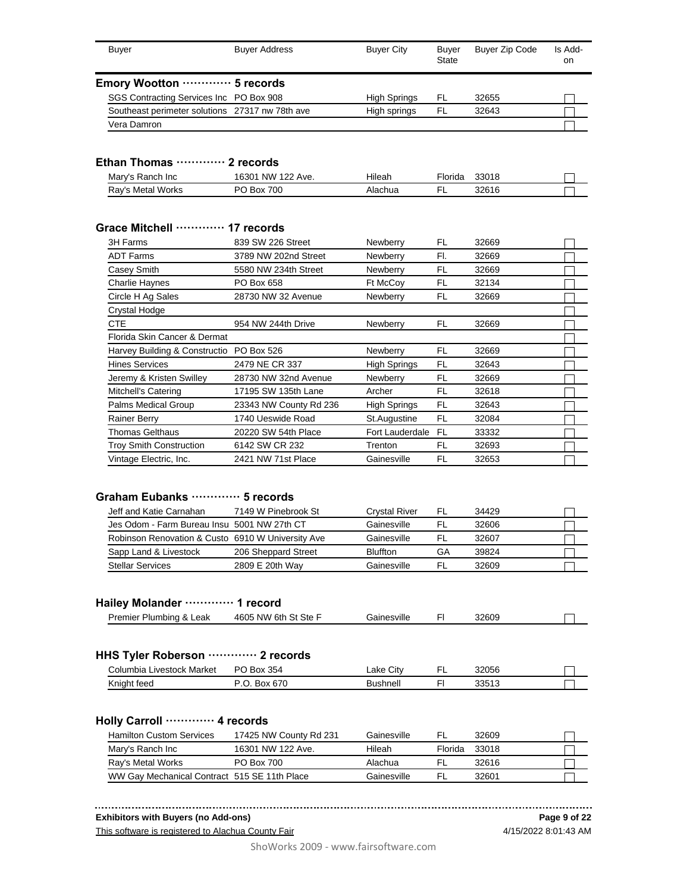| <b>Buver</b>                                    | <b>Buyer Address</b> | <b>Buver City</b> | Buyer<br>State | <b>Buyer Zip Code</b> | Is Add-<br>on. |
|-------------------------------------------------|----------------------|-------------------|----------------|-----------------------|----------------|
| Emory Wootton  5 records                        |                      |                   |                |                       |                |
| SGS Contracting Services Inc PO Box 908         |                      | High Springs      | FL             | 32655                 |                |
| Southeast perimeter solutions 27317 nw 78th ave |                      | High springs      | FL.            | 32643                 |                |
| Vera Damron                                     |                      |                   |                |                       |                |

## **Ethan Thomas ············· 2 records**

| Mary's Ranch Inc  | 16301 NW 122 Ave. | Hileah  | <sup>=</sup> lorida | 33018 |  |
|-------------------|-------------------|---------|---------------------|-------|--|
| Rav's Metal Works | PO Box 700        | Alachua |                     | 32616 |  |

## **Grace Mitchell ············· 17 records**

| 3H Farms                                 | 839 SW 226 Street      | Newberry            | FL  | 32669 |  |
|------------------------------------------|------------------------|---------------------|-----|-------|--|
| <b>ADT Farms</b>                         | 3789 NW 202nd Street   | Newberry            | FI. | 32669 |  |
| Casey Smith                              | 5580 NW 234th Street   | Newberry            | FL  | 32669 |  |
| <b>Charlie Haynes</b>                    | PO Box 658             | Ft McCoy            | FL  | 32134 |  |
| Circle H Ag Sales                        | 28730 NW 32 Avenue     | Newberry            | FL  | 32669 |  |
| Crystal Hodge                            |                        |                     |     |       |  |
| CTE                                      | 954 NW 244th Drive     | Newberry            | FL  | 32669 |  |
| Florida Skin Cancer & Dermat             |                        |                     |     |       |  |
| Harvey Building & Constructio PO Box 526 |                        | Newberry            | FL  | 32669 |  |
| <b>Hines Services</b>                    | 2479 NE CR 337         | <b>High Springs</b> | FL  | 32643 |  |
| Jeremy & Kristen Swilley                 | 28730 NW 32nd Avenue   | Newberry            | FL  | 32669 |  |
| Mitchell's Catering                      | 17195 SW 135th Lane    | Archer              | FL  | 32618 |  |
| Palms Medical Group                      | 23343 NW County Rd 236 | <b>High Springs</b> | FL  | 32643 |  |
| <b>Rainer Berry</b>                      | 1740 Ueswide Road      | St.Augustine        | FL  | 32084 |  |
| <b>Thomas Gelthaus</b>                   | 20220 SW 54th Place    | Fort Lauderdale     | FL. | 33332 |  |
| <b>Troy Smith Construction</b>           | 6142 SW CR 232         | Trenton             | FL  | 32693 |  |
| Vintage Electric, Inc.                   | 2421 NW 71st Place     | Gainesville         | FL  | 32653 |  |

#### **Graham Eubanks ············· 5 records**

| Jeff and Katie Carnahan                           | 7149 W Pinebrook St | <b>Crystal River</b> | FL | 34429 |  |
|---------------------------------------------------|---------------------|----------------------|----|-------|--|
| Jes Odom - Farm Bureau Insu 5001 NW 27th CT       |                     | Gainesville          |    | 32606 |  |
| Robinson Renovation & Custo 6910 W University Ave |                     | Gainesville          | FL | 32607 |  |
| Sapp Land & Livestock                             | 206 Sheppard Street | <b>Bluffton</b>      | GА | 39824 |  |
| <b>Stellar Services</b>                           | 2809 E 20th Way     | Gainesville          |    | 32609 |  |

#### **Hailey Molander ············· 1 record**

| Premier<br>Leak<br><br>Plumbina<br>. . | 4605 NW<br>`6th∶<br>Ste<br>St | Gainesville | 32609 |  |
|----------------------------------------|-------------------------------|-------------|-------|--|
|                                        |                               |             |       |  |

#### **HHS Tyler Roberson ············· 2 records**

| Columbia<br>ı Livestock Market | PO.<br>354<br>Box | City<br>Lake | - | 32056           |  |
|--------------------------------|-------------------|--------------|---|-----------------|--|
| Knight feed                    | Box 670<br>J.     | Bushnell     |   | 33517<br>ບບບ ເບ |  |

#### **Holly Carroll ············· 4 records**

| <b>Hamilton Custom Services</b>              | 17425 NW County Rd 231 | Gainesville | FL      | 32609 |  |
|----------------------------------------------|------------------------|-------------|---------|-------|--|
| Mary's Ranch Inc                             | 16301 NW 122 Ave.      | Hileah      | Florida | 33018 |  |
| Ray's Metal Works                            | PO Box 700             | Alachua     | ΕL      | 32616 |  |
| WW Gay Mechanical Contract 515 SE 11th Place |                        | Gainesville | FI.     | 32601 |  |

#### **Exhibitors with Buyers (no Add-ons)**

This software is registered to Alachua County Fair

4/15/2022 8:01:43 AM **Page 9 of 22**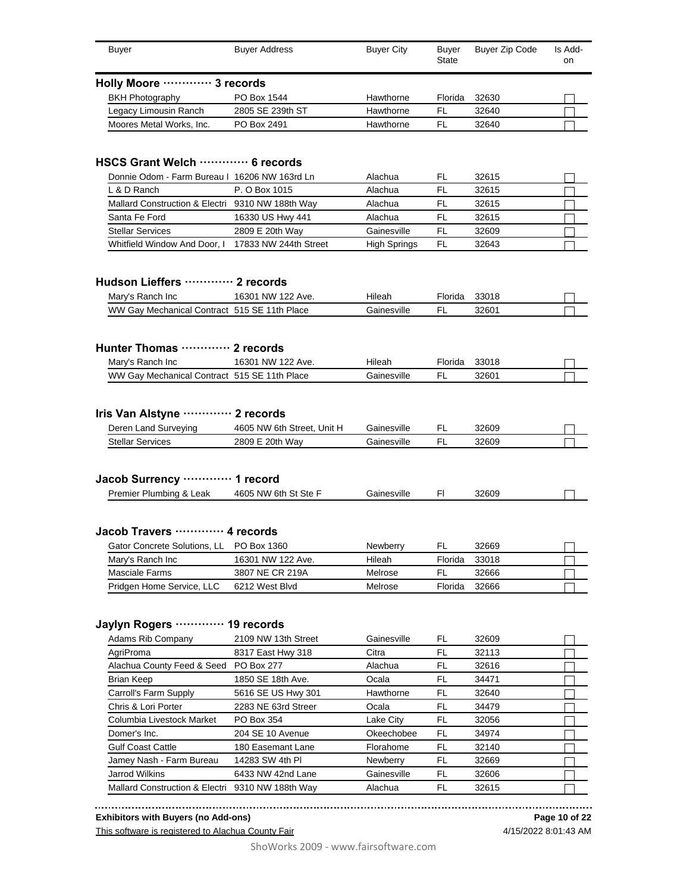| <b>Buyer</b>                                                                                   | <b>Buyer Address</b>                          | <b>Buyer City</b>          | <b>Buyer</b><br><b>State</b> | <b>Buyer Zip Code</b> | Is Add-<br>on |
|------------------------------------------------------------------------------------------------|-----------------------------------------------|----------------------------|------------------------------|-----------------------|---------------|
| Holly Moore ………… 3 records                                                                     |                                               |                            |                              |                       |               |
| <b>BKH Photography</b>                                                                         | PO Box 1544                                   | Hawthorne                  | Florida                      | 32630                 |               |
| Legacy Limousin Ranch                                                                          | 2805 SE 239th ST                              | Hawthorne                  | <b>FL</b>                    | 32640                 |               |
| Moores Metal Works, Inc.                                                                       | PO Box 2491                                   | Hawthorne                  | FL                           | 32640                 |               |
| HSCS Grant Welch  6 records                                                                    |                                               |                            |                              |                       |               |
| Donnie Odom - Farm Bureau I 16206 NW 163rd Ln                                                  |                                               | Alachua                    | FL                           | 32615                 |               |
| L & D Ranch                                                                                    | P. O Box 1015                                 | Alachua                    | <b>FL</b>                    | 32615                 |               |
| Mallard Construction & Electri 9310 NW 188th Way                                               |                                               | Alachua                    | FL                           | 32615                 |               |
| Santa Fe Ford                                                                                  | 16330 US Hwy 441                              | Alachua                    | FL                           | 32615                 |               |
| <b>Stellar Services</b>                                                                        | 2809 E 20th Way                               | Gainesville                | FL                           | 32609                 |               |
| Whitfield Window And Door, I                                                                   | 17833 NW 244th Street                         | <b>High Springs</b>        | FL                           | 32643                 |               |
| Hudson Lieffers  2 records<br>Mary's Ranch Inc<br>WW Gay Mechanical Contract 515 SE 11th Place | 16301 NW 122 Ave.                             | Hileah<br>Gainesville      | Florida<br>FL                | 33018<br>32601        |               |
| Hunter Thomas ………… 2 records                                                                   |                                               |                            |                              |                       |               |
| Mary's Ranch Inc<br>WW Gay Mechanical Contract 515 SE 11th Place                               | 16301 NW 122 Ave.                             | Hileah<br>Gainesville      | Florida<br>FL                | 33018<br>32601        |               |
| Iris Van Alstyne  2 records<br>Deren Land Surveying<br><b>Stellar Services</b>                 | 4605 NW 6th Street, Unit H<br>2809 E 20th Way | Gainesville<br>Gainesville | FL<br><b>FL</b>              | 32609<br>32609        |               |
| Jacob Surrency ············· 1 record                                                          |                                               |                            |                              |                       |               |
| Premier Plumbing & Leak                                                                        | 4605 NW 6th St Ste F                          | Gainesville                | FI                           | 32609                 |               |
| Jacob Travers  4 records                                                                       |                                               |                            |                              |                       |               |
| Gator Concrete Solutions, LL PO Box 1360                                                       |                                               | <b>Newberry</b>            | FL                           | 32669                 |               |
| Mary's Ranch Inc                                                                               | 16301 NW 122 Ave.                             | Hileah                     | Florida                      | 33018                 |               |
| Masciale Farms                                                                                 | 3807 NE CR 219A                               | Melrose                    | FL                           | 32666                 |               |
| Pridgen Home Service, LLC                                                                      | 6212 West Blvd                                | Melrose                    | Florida                      | 32666                 |               |
| Jaylyn Rogers .                                                                                | 19 records                                    |                            |                              |                       |               |
| <b>Adams Rib Company</b>                                                                       | 2109 NW 13th Street                           | Gainesville                | FL                           | 32609                 |               |
| AgriProma                                                                                      | 8317 East Hwy 318                             | Citra                      | FL                           | 32113                 |               |
| Alachua County Feed & Seed                                                                     | PO Box 277                                    | Alachua                    | FL                           | 32616                 |               |
| Brian Keep                                                                                     | 1850 SE 18th Ave.                             | Ocala                      | FL                           | 34471                 |               |
| Carroll's Farm Supply                                                                          | 5616 SE US Hwy 301                            | Hawthorne                  | FL                           | 32640                 |               |
| Chris & Lori Porter                                                                            | 2283 NE 63rd Streer                           | Ocala                      | FL                           | 34479                 |               |
| Columbia Livestock Market                                                                      | PO Box 354                                    | Lake City                  | FL                           | 32056                 |               |
| Domer's Inc.                                                                                   | 204 SE 10 Avenue                              | Okeechobee                 | FL                           | 34974                 |               |
| Gulf Coast Cattle                                                                              | 180 Easemant Lane                             | Florahome                  | FL                           | 32140                 |               |
| Jamey Nash - Farm Bureau                                                                       | 14283 SW 4th PI                               | Newberry                   | FL                           | 32669                 |               |
| Jarrod Wilkins                                                                                 | 6433 NW 42nd Lane                             | Gainesville                | FL                           | 32606                 |               |
| <b>Mallard Construction &amp; Electri</b>                                                      | 9310 NW 188th Way                             | Alachua                    | FL                           | 32615                 |               |

**Exhibitors with Buyers (no Add-ons)**

This software is registered to Alachua County Fair

**Page 10 of 22** 4/15/2022 8:01:43 AM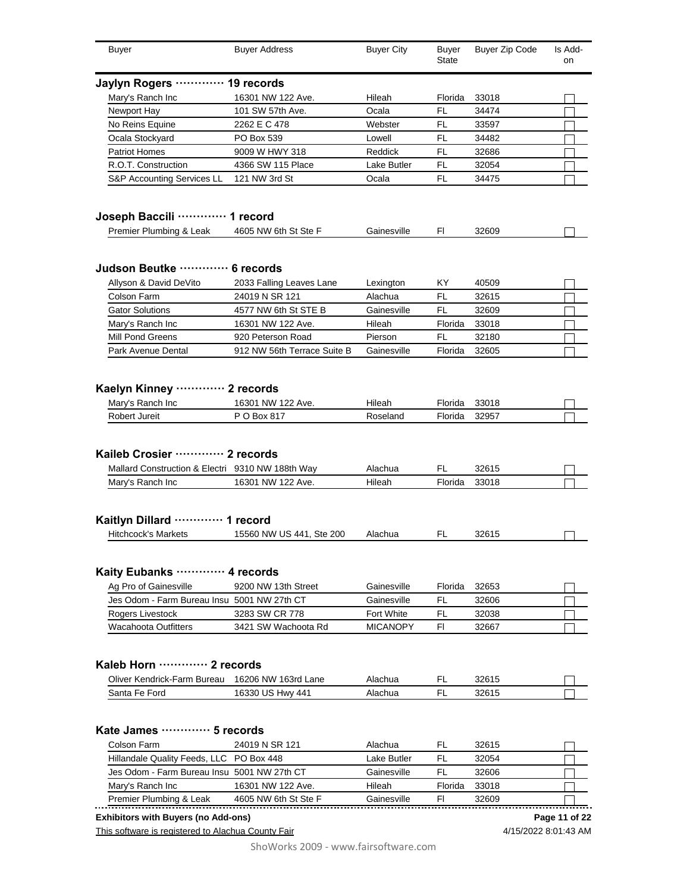| <b>Buyer</b>                                                                                         | <b>Buyer Address</b>                      | <b>Buyer City</b>     | Buyer<br>State | Buyer Zip Code | Is Add-<br>on |
|------------------------------------------------------------------------------------------------------|-------------------------------------------|-----------------------|----------------|----------------|---------------|
| Jaylyn Rogers ·                                                                                      | 19 records                                |                       |                |                |               |
| Mary's Ranch Inc                                                                                     | 16301 NW 122 Ave.                         | Hileah                | Florida        | 33018          |               |
| Newport Hay                                                                                          | 101 SW 57th Ave.                          | Ocala                 | <b>FL</b>      | 34474          |               |
| No Reins Equine                                                                                      | 2262 E C 478                              | Webster               | <b>FL</b>      | 33597          |               |
| Ocala Stockyard                                                                                      | PO Box 539                                | Lowell                | <b>FL</b>      | 34482          |               |
| <b>Patriot Homes</b>                                                                                 | 9009 W HWY 318                            | Reddick               | <b>FL</b>      | 32686          |               |
| R.O.T. Construction                                                                                  | 4366 SW 115 Place                         | Lake Butler           | <b>FL</b>      | 32054          |               |
| S&P Accounting Services LL                                                                           | 121 NW 3rd St                             | Ocala                 | <b>FL</b>      | 34475          |               |
| Joseph Baccili ············· 1 record                                                                |                                           |                       |                |                |               |
| Premier Plumbing & Leak                                                                              | 4605 NW 6th St Ste F                      | Gainesville           | FI.            | 32609          |               |
| Judson Beutke ············· 6 records                                                                |                                           |                       |                |                |               |
| Allyson & David DeVito                                                                               | 2033 Falling Leaves Lane                  | Lexington             | KY.            | 40509          |               |
| Colson Farm                                                                                          | 24019 N SR 121                            | Alachua               | FL             | 32615          |               |
| <b>Gator Solutions</b>                                                                               | 4577 NW 6th St STE B                      | Gainesville           | FL             | 32609          |               |
| Mary's Ranch Inc                                                                                     | 16301 NW 122 Ave.                         | Hileah                | Florida        | 33018          |               |
| Mill Pond Greens                                                                                     | 920 Peterson Road                         | Pierson               | <b>FL</b>      | 32180          |               |
| Park Avenue Dental                                                                                   | 912 NW 56th Terrace Suite B               | Gainesville           | Florida        | 32605          |               |
|                                                                                                      |                                           |                       |                |                |               |
| Mary's Ranch Inc                                                                                     | $\cdots$ 2 records<br>16301 NW 122 Ave.   | Hileah                | Florida        | 33018          |               |
| <b>Kaelyn Kinney</b><br>Robert Jureit                                                                | P O Box 817                               | Roseland              | Florida        | 32957          |               |
| Mallard Construction & Electri 9310 NW 188th Way<br>Mary's Ranch Inc                                 | 16301 NW 122 Ave.                         | Alachua<br>Hileah     | FL<br>Florida  | 32615<br>33018 |               |
|                                                                                                      |                                           |                       |                |                |               |
| Hitchcock's Markets                                                                                  | 15560 NW US 441, Ste 200                  | Alachua               | FL             | 32615          |               |
|                                                                                                      |                                           |                       |                |                |               |
| Ag Pro of Gainesville                                                                                | 9200 NW 13th Street                       | Gainesville           | Florida        | 32653          |               |
| Jes Odom - Farm Bureau Insu 5001 NW 27th CT                                                          |                                           | Gainesville           | FL             | 32606          |               |
| Rogers Livestock                                                                                     | 3283 SW CR 778                            | <b>Fort White</b>     | FL             | 32038          |               |
| Kaileb Crosier ………… 2 records<br>Kaitlyn Dillard .<br>Kaity Eubanks ·<br><b>Wacahoota Outfitters</b> | 3421 SW Wachoota Rd                       | <b>MICANOPY</b>       | FI.            | 32667          |               |
|                                                                                                      |                                           |                       |                |                |               |
| Oliver Kendrick-Farm Bureau                                                                          | 16206 NW 163rd Lane                       | Alachua               | FL             | 32615          |               |
| Kaleb Horn ············· 2 records<br>Santa Fe Ford                                                  | 16330 US Hwy 441                          | Alachua               | FL             | 32615          |               |
|                                                                                                      |                                           |                       |                |                |               |
|                                                                                                      |                                           |                       |                |                |               |
| Kate James ………… 5 records<br>Colson Farm                                                             | 24019 N SR 121                            | Alachua               | FL.            | 32615          |               |
| Hillandale Quality Feeds, LLC PO Box 448                                                             |                                           | Lake Butler           | FL             | 32054          |               |
| Jes Odom - Farm Bureau Insu 5001 NW 27th CT                                                          |                                           | Gainesville           | FL             | 32606          |               |
| Mary's Ranch Inc<br>Premier Plumbing & Leak                                                          | 16301 NW 122 Ave.<br>4605 NW 6th St Ste F | Hileah<br>Gainesville | Florida<br>FI. | 33018<br>32609 |               |

## **Exhibitors with Buyers (no Add-ons)**

This software is registered to Alachua County Fair

4/15/2022 8:01:43 AM **Page 11 of 22**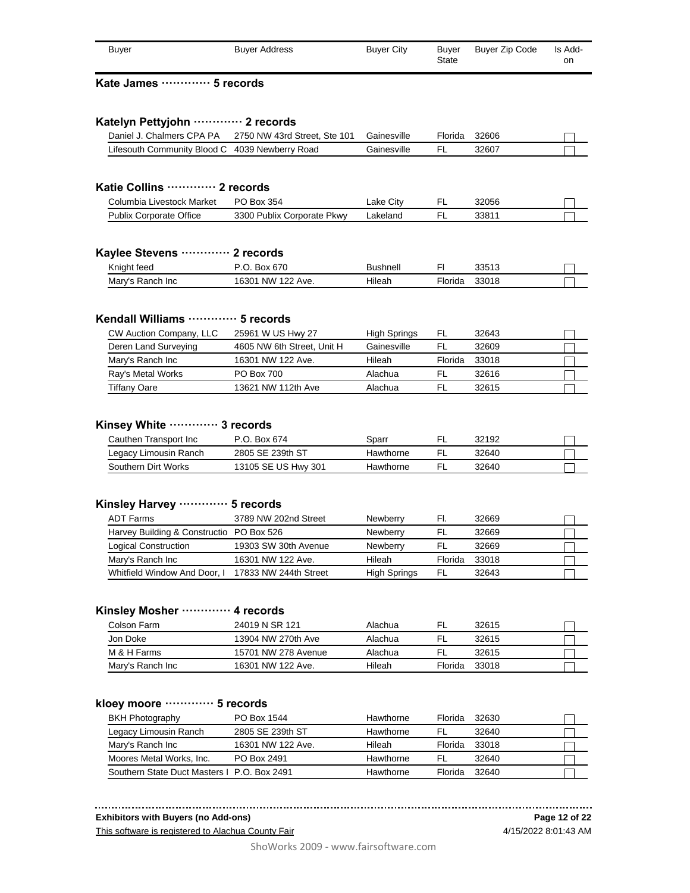| <b>Buyer</b>                                   | <b>Buyer Address</b>                                   | <b>Buyer City</b> | <b>Buyer</b><br>State | <b>Buyer Zip Code</b> | Is Add-<br><b>on</b> |
|------------------------------------------------|--------------------------------------------------------|-------------------|-----------------------|-----------------------|----------------------|
| Kate James ………… 5 records                      |                                                        |                   |                       |                       |                      |
| Katelyn Pettyjohn ………… 2 records               |                                                        |                   |                       |                       |                      |
|                                                | Daniel J. Chalmers CPA PA 2750 NW 43rd Street, Ste 101 | Gainesville       | Florida               | 32606                 |                      |
| Lifesouth Community Blood C 4039 Newberry Road |                                                        | Gainesville       | FL.                   | 32607                 |                      |
| Katie Collins ………… 2 records                   |                                                        |                   |                       |                       |                      |
|                                                |                                                        |                   |                       |                       |                      |
| Columbia Livestock Market                      | PO Box 354                                             | Lake City         | FL.                   | 32056                 |                      |
| <b>Publix Corporate Office</b>                 | 3300 Publix Corporate Pkwy                             | Lakeland          | FL.                   | 33811                 |                      |

| Knight feed                         | $\sim$<br><b>DUX</b><br>07 U<br>.       | 1.1000000<br>וור<br>11 GH |         | 00040<br>JJJ 1 J |  |
|-------------------------------------|-----------------------------------------|---------------------------|---------|------------------|--|
| Mary<br><b>Inc</b><br>500h<br>sanch | ΝW<br>1630 <sup>.</sup><br>100<br>`Ave. | $\cdots$<br>Hıleah        | -lorida | 22010<br>33U I O |  |

## **Kendall Williams ············· 5 records**

| CW Auction Company, LLC | 25961 W US Hwy 27          | <b>High Springs</b> | FL      | 32643 |  |
|-------------------------|----------------------------|---------------------|---------|-------|--|
| Deren Land Surveying    | 4605 NW 6th Street, Unit H | Gainesville         | FL.     | 32609 |  |
| Mary's Ranch Inc        | 16301 NW 122 Ave.          | Hileah              | Florida | 33018 |  |
| Ray's Metal Works       | <b>PO Box 700</b>          | Alachua             | FI      | 32616 |  |
| <b>Tiffany Oare</b>     | 13621 NW 112th Ave         | Alachua             |         | 32615 |  |

## **Kinsey White ············· 3 records**

| Cauthen Transport Inc | P.O. Box 674        | Sparr     | 32192 |  |
|-----------------------|---------------------|-----------|-------|--|
| Legacy Limousin Ranch | 2805 SE 239th ST    | Hawthorne | 32640 |  |
| Southern Dirt Works   | 13105 SE US Hwy 301 | Hawthorne | 32640 |  |

#### **Kinsley Harvey ············· 5 records**

| ADT Farms                                | 3789 NW 202nd Street  | <b>Newberry</b>     | FI.     | 32669 |  |
|------------------------------------------|-----------------------|---------------------|---------|-------|--|
| Harvey Building & Constructio PO Box 526 |                       | <b>Newberry</b>     | FL      | 32669 |  |
| Logical Construction                     | 19303 SW 30th Avenue  | <b>Newberry</b>     | FL      | 32669 |  |
| Mary's Ranch Inc                         | 16301 NW 122 Ave.     | Hileah              | Florida | 33018 |  |
| Whitfield Window And Door, I             | 17833 NW 244th Street | <b>High Springs</b> | FL      | 32643 |  |

## **Kinsley Mosher ············· 4 records**

| Colson Farm      | 24019 N SR 121      | Alachua | FL      | 32615 |  |
|------------------|---------------------|---------|---------|-------|--|
| Jon Doke         | 13904 NW 270th Ave  | Alachua | FL.     | 32615 |  |
| M & H Farms      | 15701 NW 278 Avenue | Alachua | FI      | 32615 |  |
| Mary's Ranch Inc | 16301 NW 122 Ave.   | Hileah  | Florida | 33018 |  |

## **kloey moore ············· 5 records**

| <b>BKH Photography</b>                      | PO Box 1544       | Hawthorne | Florida | 32630 |  |
|---------------------------------------------|-------------------|-----------|---------|-------|--|
| Legacy Limousin Ranch                       | 2805 SE 239th ST  | Hawthorne | FI.     | 32640 |  |
| Mary's Ranch Inc                            | 16301 NW 122 Ave. | Hileah    | Florida | 33018 |  |
| Moores Metal Works, Inc.                    | PO Box 2491       | Hawthorne | FI      | 32640 |  |
| Southern State Duct Masters I P.O. Box 2491 |                   | Hawthorne | Florida | 32640 |  |

#### **Exhibitors with Buyers (no Add-ons)**

This software is registered to Alachua County Fair

4/15/2022 8:01:43 AM **Page 12 of 22**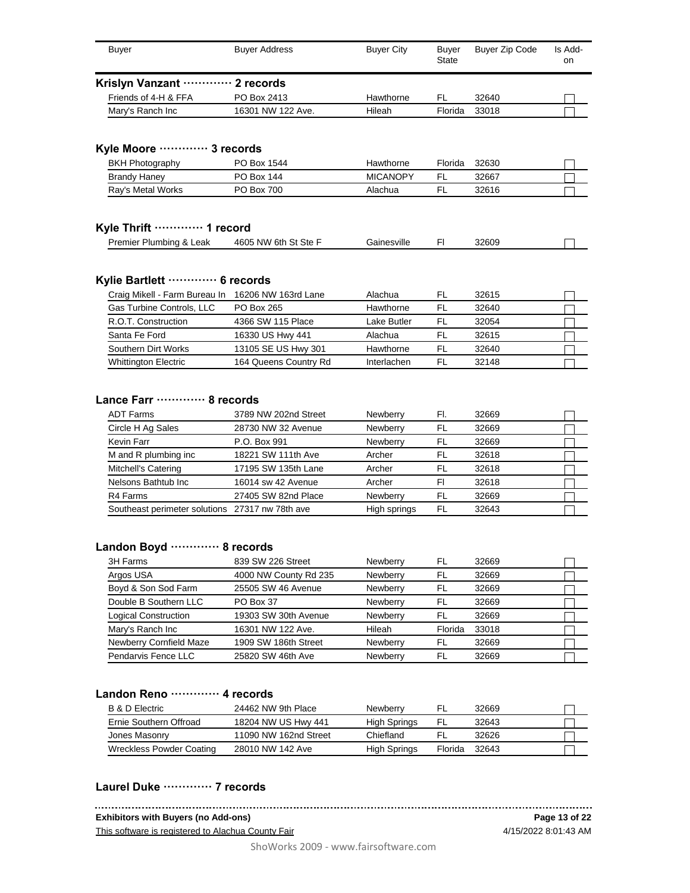| <b>Buyer</b>                                    | <b>Buyer Address</b>  | <b>Buyer City</b> | <b>Buyer</b><br>State | <b>Buyer Zip Code</b> | Is Add-<br>on |
|-------------------------------------------------|-----------------------|-------------------|-----------------------|-----------------------|---------------|
| Krislyn Vanzant ………… 2 records                  |                       |                   |                       |                       |               |
| Friends of 4-H & FFA                            | PO Box 2413           | Hawthorne         | FL                    | 32640                 |               |
| Mary's Ranch Inc                                | 16301 NW 122 Ave.     | Hileah            | Florida               | 33018                 |               |
| Kyle Moore ………… 3 records                       |                       |                   |                       |                       |               |
| <b>BKH Photography</b>                          | PO Box 1544           | Hawthorne         | Florida               | 32630                 |               |
| <b>Brandy Haney</b>                             | <b>PO Box 144</b>     | <b>MICANOPY</b>   | FL                    | 32667                 |               |
| Ray's Metal Works                               | PO Box 700            | Alachua           | FL                    | 32616                 |               |
| Kyle Thrift  1 record                           |                       |                   |                       |                       |               |
| Premier Plumbing & Leak                         | 4605 NW 6th St Ste F  | Gainesville       | FI                    | 32609                 |               |
| Kylie Bartlett ………… 6 records                   |                       |                   |                       |                       |               |
| Craig Mikell - Farm Bureau In                   | 16206 NW 163rd Lane   | Alachua           | FL                    | 32615                 |               |
| Gas Turbine Controls, LLC                       | PO Box 265            | Hawthorne         | FL                    | 32640                 |               |
| R.O.T. Construction                             | 4366 SW 115 Place     | Lake Butler       | FL                    | 32054                 |               |
| Santa Fe Ford                                   | 16330 US Hwy 441      | Alachua           | FL                    | 32615                 |               |
| Southern Dirt Works                             | 13105 SE US Hwy 301   | Hawthorne         | FL                    | 32640                 |               |
| Whittington Electric                            | 164 Queens Country Rd | Interlachen       | FL                    | 32148                 |               |
| Lance Farr ………… 8 records                       |                       |                   |                       |                       |               |
| <b>ADT Farms</b>                                | 3789 NW 202nd Street  | Newberry          | FI.                   | 32669                 |               |
| Circle H Ag Sales                               | 28730 NW 32 Avenue    | Newberry          | FL                    | 32669                 |               |
| Kevin Farr                                      | P.O. Box 991          | Newberry          | <b>FL</b>             | 32669                 |               |
| M and R plumbing inc                            | 18221 SW 111th Ave    | Archer            | FL                    | 32618                 |               |
| Mitchell's Catering                             | 17195 SW 135th Lane   | Archer            | FL                    | 32618                 |               |
| Nelsons Bathtub Inc                             | 16014 sw 42 Avenue    | Archer            | FI                    | 32618                 |               |
| R4 Farms                                        | 27405 SW 82nd Place   | Newberry          | FL                    | 32669                 |               |
| Southeast perimeter solutions 27317 nw 78th ave |                       | High springs      | FL                    | 32643                 |               |
| Landon Boyd  8 records                          |                       |                   |                       |                       |               |
| 3H Farms                                        | 839 SW 226 Street     | Newberry          | FL                    | 32669                 |               |
| Argos USA                                       | 4000 NW County Rd 235 | Newberry          | FL                    | 32669                 |               |
| David & Can Cad Farm                            | $QEDDE$ $QMLAC$ $A1$  | Naubons           | m.                    | 22000                 |               |

| Argos USA                      | 4000 NW County Rd 235 | <b>Newberry</b> | FL      | 32669 |  |
|--------------------------------|-----------------------|-----------------|---------|-------|--|
| Boyd & Son Sod Farm            | 25505 SW 46 Avenue    | Newberry        | FL      | 32669 |  |
| Double B Southern LLC          | PO Box 37             | Newberry        | FL      | 32669 |  |
| Logical Construction           | 19303 SW 30th Avenue  | Newberry        | FL      | 32669 |  |
| Mary's Ranch Inc               | 16301 NW 122 Ave.     | Hileah          | Florida | 33018 |  |
| <b>Newberry Cornfield Maze</b> | 1909 SW 186th Street  | Newberry        | FL      | 32669 |  |
| Pendarvis Fence LLC            | 25820 SW 46th Ave     | Newberry        | FL      | 32669 |  |

## **Landon Reno ············· 4 records**

| B & D Electric           | 24462 NW 9th Place    | Newberry            |         | 32669 |  |
|--------------------------|-----------------------|---------------------|---------|-------|--|
| Ernie Southern Offroad   | 18204 NW US Hwy 441   | High Springs        | FL      | 32643 |  |
| Jones Masonry            | 11090 NW 162nd Street | Chiefland           |         | 32626 |  |
| Wreckless Powder Coating | 28010 NW 142 Ave      | <b>High Springs</b> | Florida | 32643 |  |

#### **Laurel Duke ············· 7 records**

#### **Exhibitors with Buyers (no Add-ons)**

This software is registered to Alachua County Fair

4/15/2022 8:01:43 AM **Page 13 of 22**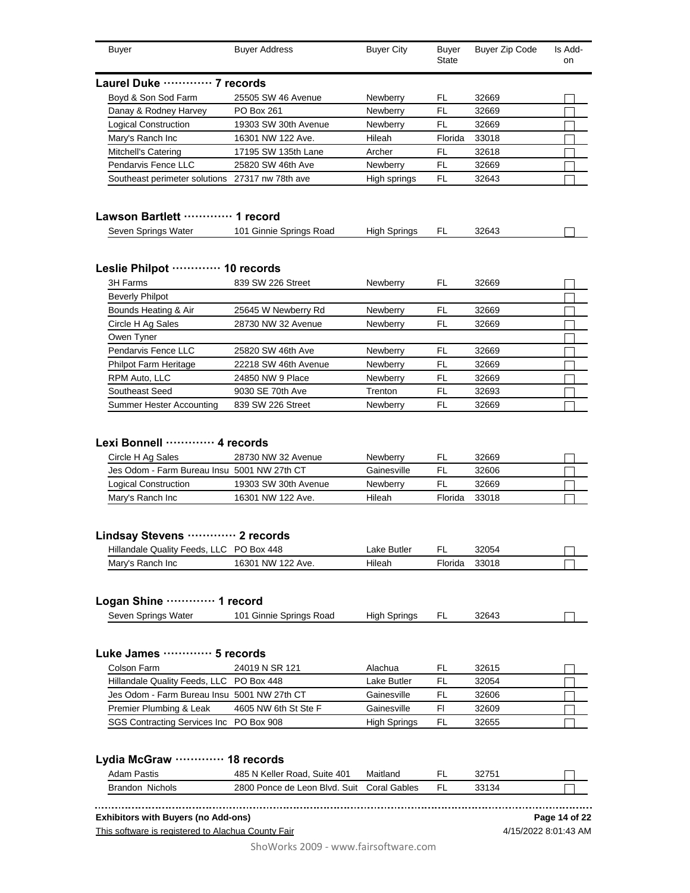| Buyer                                                                                                                                       | <b>Buyer Address</b>                                            | <b>Buyer City</b>                                    | <b>Buyer</b><br>State     | <b>Buyer Zip Code</b>            | Is Add-<br>on |
|---------------------------------------------------------------------------------------------------------------------------------------------|-----------------------------------------------------------------|------------------------------------------------------|---------------------------|----------------------------------|---------------|
| Laurel Duke ………… 7 records                                                                                                                  |                                                                 |                                                      |                           |                                  |               |
| Boyd & Son Sod Farm                                                                                                                         | 25505 SW 46 Avenue                                              | Newberry                                             | FL                        | 32669                            |               |
| Danay & Rodney Harvey                                                                                                                       | PO Box 261                                                      | Newberry                                             | FL                        | 32669                            |               |
| Logical Construction                                                                                                                        | 19303 SW 30th Avenue                                            | <b>Newberry</b>                                      | FL                        | 32669                            |               |
| Mary's Ranch Inc                                                                                                                            | 16301 NW 122 Ave.                                               | Hileah                                               | Florida                   | 33018                            |               |
| Mitchell's Catering                                                                                                                         | 17195 SW 135th Lane                                             | Archer                                               | FL                        | 32618                            |               |
| Pendarvis Fence LLC                                                                                                                         | 25820 SW 46th Ave                                               | Newberry                                             | FL                        | 32669                            |               |
| Southeast perimeter solutions 27317 nw 78th ave                                                                                             |                                                                 | High springs                                         | FL                        | 32643                            |               |
| Lawson Bartlett ………… 1 record                                                                                                               |                                                                 |                                                      |                           |                                  |               |
| Seven Springs Water                                                                                                                         | 101 Ginnie Springs Road                                         | <b>High Springs</b>                                  | FL                        | 32643                            |               |
| Leslie Philpot ………… 10 records                                                                                                              |                                                                 |                                                      |                           |                                  |               |
| 3H Farms                                                                                                                                    | 839 SW 226 Street                                               | Newberry                                             | FL.                       | 32669                            |               |
| <b>Beverly Philpot</b>                                                                                                                      |                                                                 |                                                      |                           |                                  |               |
| Bounds Heating & Air                                                                                                                        | 25645 W Newberry Rd                                             | Newberry                                             | FL                        | 32669                            |               |
| Circle H Ag Sales                                                                                                                           | 28730 NW 32 Avenue                                              | <b>Newberry</b>                                      | FL                        | 32669                            |               |
| Owen Tyner                                                                                                                                  |                                                                 |                                                      |                           |                                  |               |
| <b>Pendarvis Fence LLC</b>                                                                                                                  | 25820 SW 46th Ave                                               | Newberry                                             | FL                        | 32669                            |               |
| <b>Philpot Farm Heritage</b>                                                                                                                | 22218 SW 46th Avenue                                            | Newberry                                             | FL                        | 32669                            |               |
| RPM Auto, LLC                                                                                                                               | 24850 NW 9 Place                                                | Newberry                                             | FL                        | 32669                            |               |
| Southeast Seed                                                                                                                              | 9030 SE 70th Ave                                                | Trenton                                              | FL                        | 32693                            |               |
| Summer Hester Accounting                                                                                                                    | 839 SW 226 Street                                               | Newberry                                             | FL                        | 32669                            |               |
| Lexi Bonnell ………… 4 records<br>Circle H Ag Sales<br>Jes Odom - Farm Bureau Insu 5001 NW 27th CT<br>Logical Construction<br>Mary's Ranch Inc | 28730 NW 32 Avenue<br>19303 SW 30th Avenue<br>16301 NW 122 Ave. | <b>Newberry</b><br>Gainesville<br>Newberry<br>Hileah | FL<br>FL<br>FL<br>Florida | 32669<br>32606<br>32669<br>33018 |               |
| Lindsay Stevens  2 records<br>Hillandale Quality Feeds, LLC PO Box 448                                                                      |                                                                 | Lake Butler                                          | FL                        | 32054                            |               |
| Mary's Ranch Inc                                                                                                                            | 16301 NW 122 Ave.                                               | Hileah                                               | Florida                   | 33018                            |               |
| Logan Shine  1 record                                                                                                                       |                                                                 |                                                      |                           |                                  |               |
| Seven Springs Water                                                                                                                         | 101 Ginnie Springs Road                                         | <b>High Springs</b>                                  | FL.                       | 32643                            |               |
| Luke James ………… 5 records                                                                                                                   |                                                                 |                                                      |                           |                                  |               |
| Colson Farm                                                                                                                                 | 24019 N SR 121                                                  |                                                      | FL                        |                                  |               |
|                                                                                                                                             |                                                                 | Alachua                                              |                           | 32615                            |               |
| Hillandale Quality Feeds, LLC PO Box 448                                                                                                    |                                                                 | Lake Butler                                          | FL                        | 32054                            |               |
| Jes Odom - Farm Bureau Insu 5001 NW 27th CT                                                                                                 |                                                                 | Gainesville                                          | FL                        | 32606                            |               |
| Premier Plumbing & Leak                                                                                                                     | 4605 NW 6th St Ste F                                            | Gainesville                                          | FI                        | 32609                            |               |
| SGS Contracting Services Inc PO Box 908                                                                                                     |                                                                 | <b>High Springs</b>                                  | FL                        | 32655                            |               |
| Lydia McGraw ·<br><b>Adam Pastis</b>                                                                                                        | 18 records<br>485 N Keller Road, Suite 401                      | Maitland                                             | FL                        | 32751                            |               |
| Brandon Nichols                                                                                                                             | 2800 Ponce de Leon Blvd. Suit                                   | <b>Coral Gables</b>                                  | FL                        | 33134                            |               |
|                                                                                                                                             |                                                                 |                                                      |                           |                                  |               |
| <b>Exhibitors with Buyers (no Add-ons)</b><br>This software is registered to Alachua County Fair                                            |                                                                 |                                                      |                           | 4/15/2022 8:01:43 AM             | Page 14 of 22 |

ShoWorks 2009 - www.fairsoftware.com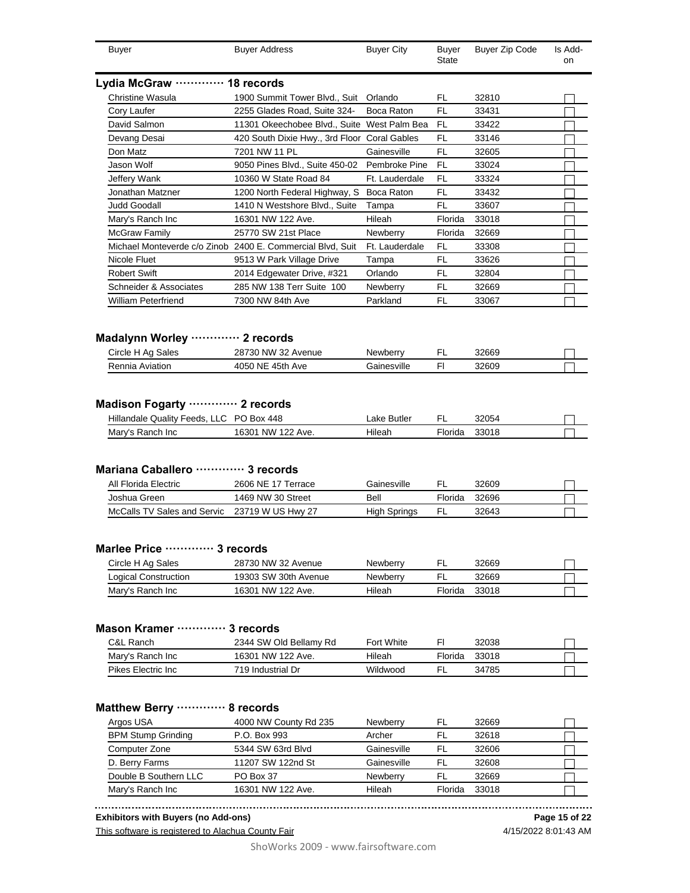| <b>Buyer</b>                                                                               | <b>Buyer Address</b>                                       | <b>Buyer City</b>       | <b>Buyer</b><br>State | <b>Buyer Zip Code</b> | Is Add-<br>on |
|--------------------------------------------------------------------------------------------|------------------------------------------------------------|-------------------------|-----------------------|-----------------------|---------------|
| Lydia McGraw ············· 18 records                                                      |                                                            |                         |                       |                       |               |
| Christine Wasula                                                                           | 1900 Summit Tower Blvd., Suit Orlando                      |                         | FL                    | 32810                 |               |
| Cory Laufer                                                                                | 2255 Glades Road, Suite 324-                               | Boca Raton              | <b>FL</b>             | 33431                 |               |
| David Salmon                                                                               | 11301 Okeechobee Blvd., Suite West Palm Bea                |                         | FL                    | 33422                 |               |
| Devang Desai                                                                               | 420 South Dixie Hwy., 3rd Floor Coral Gables               |                         | FL                    | 33146                 |               |
| Don Matz                                                                                   | 7201 NW 11 PL                                              | Gainesville             | <b>FL</b>             | 32605                 |               |
| Jason Wolf                                                                                 | 9050 Pines Blvd., Suite 450-02                             | Pembroke Pine           | FL                    | 33024                 |               |
| Jeffery Wank                                                                               | 10360 W State Road 84                                      | Ft. Lauderdale          | FL                    | 33324                 |               |
| Jonathan Matzner                                                                           | 1200 North Federal Highway, S Boca Raton                   |                         | FL                    | 33432                 |               |
| <b>Judd Goodall</b>                                                                        | 1410 N Westshore Blvd., Suite                              | Tampa                   | FL                    | 33607                 |               |
| Mary's Ranch Inc                                                                           | 16301 NW 122 Ave.                                          | Hileah                  | Florida               | 33018                 |               |
| McGraw Family                                                                              | 25770 SW 21st Place                                        | <b>Newberry</b>         | Florida               | 32669                 |               |
|                                                                                            | Michael Monteverde c/o Zinob 2400 E. Commercial Blvd, Suit | Ft. Lauderdale          | FL                    | 33308                 |               |
| Nicole Fluet                                                                               | 9513 W Park Village Drive                                  | Tampa                   | FL                    | 33626                 |               |
| <b>Robert Swift</b>                                                                        | 2014 Edgewater Drive, #321                                 | Orlando                 | FL                    | 32804                 |               |
| Schneider & Associates                                                                     | 285 NW 138 Terr Suite 100                                  | Newberry                | FL                    | 32669                 |               |
| <b>William Peterfriend</b>                                                                 | 7300 NW 84th Ave                                           | Parkland                | FL                    | 33067                 |               |
| Madalynn Worley  2 records                                                                 |                                                            |                         |                       |                       |               |
| Circle H Ag Sales<br>Rennia Aviation                                                       | 28730 NW 32 Avenue<br>4050 NE 45th Ave                     | Newberry<br>Gainesville | FL<br>FI.             | 32669<br>32609        |               |
| Madison Fogarty  2 records<br>Hillandale Quality Feeds, LLC PO Box 448<br>Mary's Ranch Inc | 16301 NW 122 Ave.                                          | Lake Butler<br>Hileah   | FL<br>Florida         | 32054<br>33018        |               |
| Mariana Caballero ………… 3 records<br>All Florida Electric                                   | 2606 NE 17 Terrace                                         | Gainesville             | FL                    | 32609                 |               |
| Joshua Green                                                                               | 1469 NW 30 Street                                          | Bell                    | Florida               | 32696                 |               |
| McCalls TV Sales and Servic                                                                | 23719 W US Hwy 27                                          | <b>High Springs</b>     | FL                    | 32643                 |               |
| Marlee Price ………… 3 records<br>Circle H Ag Sales<br><b>Logical Construction</b>            | 28730 NW 32 Avenue<br>19303 SW 30th Avenue                 | Newberry<br>Newberry    | FL<br><b>FL</b>       | 32669<br>32669        |               |
| Mary's Ranch Inc                                                                           | 16301 NW 122 Ave.                                          | Hileah                  | Florida               | 33018                 |               |
| Mason Kramer ………… 3 records<br>C&L Ranch                                                   | 2344 SW Old Bellamy Rd                                     | <b>Fort White</b>       | FI.                   | 32038                 |               |
|                                                                                            | 16301 NW 122 Ave.                                          | Hileah                  | Florida               | 33018                 |               |
| Mary's Ranch Inc                                                                           |                                                            |                         |                       |                       |               |
| Pikes Electric Inc                                                                         | 719 Industrial Dr                                          | Wildwood                | FL                    | 34785                 |               |
| Matthew Berry  8 records<br>Argos USA<br><b>BPM Stump Grinding</b>                         | 4000 NW County Rd 235<br>P.O. Box 993                      | Newberry<br>Archer      | FL<br>FL              | 32669<br>32618        |               |
| Computer Zone                                                                              | 5344 SW 63rd Blvd                                          | Gainesville             | FL                    | 32606                 |               |
| D. Berry Farms                                                                             | 11207 SW 122nd St                                          | Gainesville             | FL                    | 32608                 |               |
| Double B Southern LLC                                                                      | PO Box 37                                                  | Newberry                | FL                    | 32669                 |               |

**Exhibitors with Buyers (no Add-ons)**

This software is registered to Alachua County Fair

**Page 15 of 22**

ShoWorks 2009 - www.fairsoftware.com

4/15/2022 8:01:43 AM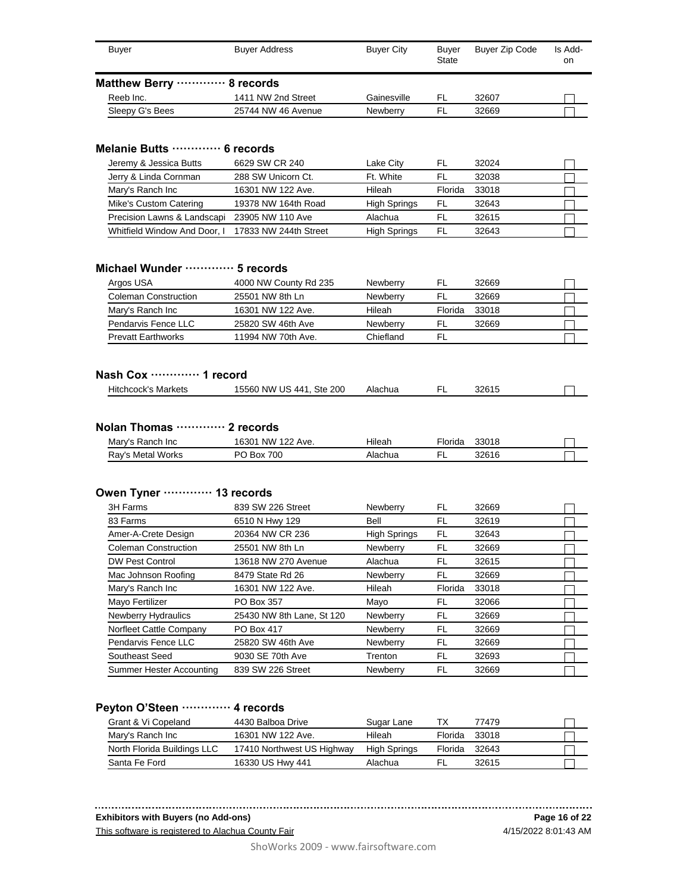| <b>Buyer</b>                 | <b>Buyer Address</b> | <b>Buyer City</b> | <b>Buver</b><br>State | Buyer Zip Code | Is Add-<br>on |
|------------------------------|----------------------|-------------------|-----------------------|----------------|---------------|
| Matthew Berry ………… 8 records |                      |                   |                       |                |               |
| Reeb Inc.                    | 1411 NW 2nd Street   | Gainesville       | FL                    | 32607          |               |
| Sleepy G's Bees              | 25744 NW 46 Avenue   | Newberry          | FL                    | 32669          |               |

#### **Melanie Butts ············· 6 records**

| Jeremy & Jessica Butts       | 6629 SW CR 240        | Lake City           | FI.     | 32024 |  |
|------------------------------|-----------------------|---------------------|---------|-------|--|
| Jerry & Linda Cornman        | 288 SW Unicorn Ct.    | Ft. White           |         | 32038 |  |
| Mary's Ranch Inc             | 16301 NW 122 Ave.     | Hileah              | Florida | 33018 |  |
| Mike's Custom Catering       | 19378 NW 164th Road   | <b>High Springs</b> | FL.     | 32643 |  |
| Precision Lawns & Landscapi  | 23905 NW 110 Ave      | Alachua             | FI.     | 32615 |  |
| Whitfield Window And Door, I | 17833 NW 244th Street | <b>High Springs</b> | FL      | 32643 |  |

#### **Michael Wunder ············· 5 records**

| Argos USA                   | 4000 NW County Rd 235 | <b>Newberry</b> | FL      | 32669 |  |
|-----------------------------|-----------------------|-----------------|---------|-------|--|
| <b>Coleman Construction</b> | 25501 NW 8th Ln       | <b>Newberry</b> | FL.     | 32669 |  |
| Mary's Ranch Inc            | 16301 NW 122 Ave.     | Hileah          | Florida | 33018 |  |
| Pendarvis Fence LLC         | 25820 SW 46th Ave     | <b>Newberry</b> | FL      | 32669 |  |
| <b>Prevatt Earthworks</b>   | 11994 NW 70th Ave.    | Chiefland       | FI      |       |  |

#### **Nash Cox ············· 1 record**

|  | Hitchcock's<br>Markets | US.<br><b>NW</b><br>15560<br><b>Ste 200</b><br>. 441 | Alachua | − | 32615<br>ں رے ت |  |
|--|------------------------|------------------------------------------------------|---------|---|-----------------|--|
|--|------------------------|------------------------------------------------------|---------|---|-----------------|--|

#### **Nolan Thomas ············· 2 records**

| Mary's Ranch Inc  | NW 122 Ave.<br>16301 | Hileah  | <b>Florida</b> | 33018 |  |
|-------------------|----------------------|---------|----------------|-------|--|
| Ray's Metal Works | 700<br>Box           | Alachua |                | 32616 |  |

#### **Owen Tyner ············· 13 records**

| 3H Farms                   | 839 SW 226 Street         | Newberry            | FL      | 32669 |  |
|----------------------------|---------------------------|---------------------|---------|-------|--|
| 83 Farms                   | 6510 N Hwy 129            | Bell                | FL      | 32619 |  |
| Amer-A-Crete Design        | 20364 NW CR 236           | <b>High Springs</b> | FL      | 32643 |  |
| Coleman Construction       | 25501 NW 8th Ln           | Newberry            | FL      | 32669 |  |
| <b>DW Pest Control</b>     | 13618 NW 270 Avenue       | Alachua             | FL      | 32615 |  |
| Mac Johnson Roofing        | 8479 State Rd 26          | Newberry            | FL      | 32669 |  |
| Mary's Ranch Inc           | 16301 NW 122 Ave.         | Hileah              | Florida | 33018 |  |
| Mayo Fertilizer            | PO Box 357                | Mayo                | FL      | 32066 |  |
| <b>Newberry Hydraulics</b> | 25430 NW 8th Lane, St 120 | Newberry            | FL      | 32669 |  |
| Norfleet Cattle Company    | PO Box 417                | Newberry            | FL      | 32669 |  |
| Pendarvis Fence LLC        | 25820 SW 46th Ave         | Newberry            | FL      | 32669 |  |
| Southeast Seed             | 9030 SE 70th Ave          | Trenton             | FL      | 32693 |  |
| Summer Hester Accounting   | 839 SW 226 Street         | Newberry            | FL      | 32669 |  |

## **Peyton O'Steen ············· 4 records**

| Grant & Vi Copeland         | 4430 Balboa Drive          | Sugar Lane          | ТX      | 77479 |  |
|-----------------------------|----------------------------|---------------------|---------|-------|--|
| Mary's Ranch Inc            | 16301 NW 122 Ave.          | Hileah              | Florida | 33018 |  |
| North Florida Buildings LLC | 17410 Northwest US Highway | <b>High Springs</b> | Florida | 32643 |  |
| Santa Fe Ford               | 16330 US Hwy 441           | Alachua             | ΕL      | 32615 |  |

#### **Exhibitors with Buyers (no Add-ons)**

This software is registered to Alachua County Fair

4/15/2022 8:01:43 AM **Page 16 of 22**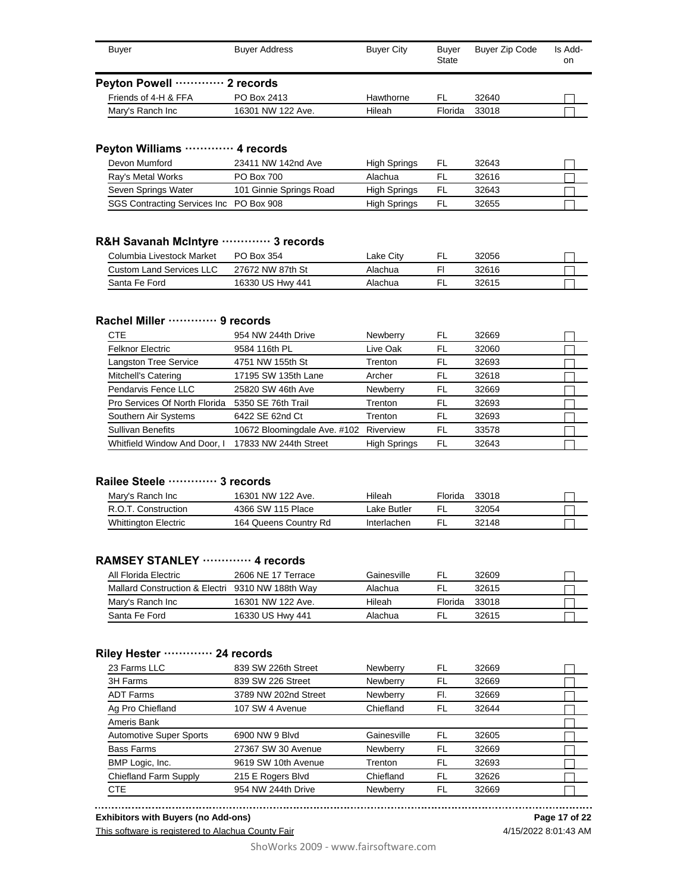| Buver                        | <b>Buyer Address</b> | <b>Buyer City</b> | <b>Buver</b><br>State | Buyer Zip Code | Is Add-<br>on |
|------------------------------|----------------------|-------------------|-----------------------|----------------|---------------|
| Peyton Powell ………… 2 records |                      |                   |                       |                |               |
| Friends of 4-H & FFA         | PO Box 2413          | Hawthorne         | .FL                   | 32640          |               |
| Mary's Ranch Inc             | 16301 NW 122 Ave.    | Hileah            | Florida               | 33018          |               |

## **Peyton Williams ············· 4 records**

| Devon Mumford                           | 23411 NW 142nd Ave      | <b>High Springs</b> | FL. | 32643 |  |
|-----------------------------------------|-------------------------|---------------------|-----|-------|--|
| Ray's Metal Works                       | <b>PO Box 700</b>       | Alachua             |     | 32616 |  |
| Seven Springs Water                     | 101 Ginnie Springs Road | <b>High Springs</b> | .FL | 32643 |  |
| SGS Contracting Services Inc PO Box 908 |                         | <b>High Springs</b> | FL. | 32655 |  |

#### **R&H Savanah McIntyre ············· 3 records**

| Columbia Livestock Market | PO Box 354       | Lake Citv | 32056 |  |
|---------------------------|------------------|-----------|-------|--|
| Custom Land Services LLC  | 27672 NW 87th St | Alachua   | 32616 |  |
| Santa Fe Ford             | 16330 US Hwy 441 | Alachua   | 32615 |  |

#### **Rachel Miller ············· 9 records**

| <b>CTE</b>                    | 954 NW 244th Drive           | Newberry            | FL | 32669 |  |
|-------------------------------|------------------------------|---------------------|----|-------|--|
| <b>Felknor Electric</b>       | 9584 116th PL                | Live Oak            | FL | 32060 |  |
| <b>Langston Tree Service</b>  | 4751 NW 155th St             | Trenton             | FL | 32693 |  |
| Mitchell's Catering           | 17195 SW 135th Lane          | Archer              | FL | 32618 |  |
| Pendarvis Fence LLC           | 25820 SW 46th Ave            | Newberry            | FL | 32669 |  |
| Pro Services Of North Florida | 5350 SE 76th Trail           | Trenton             | FL | 32693 |  |
| Southern Air Systems          | 6422 SE 62nd Ct              | Trenton             | FL | 32693 |  |
| <b>Sullivan Benefits</b>      | 10672 Bloomingdale Ave. #102 | Riverview           | FL | 33578 |  |
| Whitfield Window And Door, I  | 17833 NW 244th Street        | <b>High Springs</b> | FL | 32643 |  |

## **Railee Steele ············· 3 records**

| Mary's Ranch Inc            | 16301 NW 122 Ave.     | Hileah      | Florida | 33018 |  |
|-----------------------------|-----------------------|-------------|---------|-------|--|
| R.O.T. Construction         | 4366 SW 115 Place     | ∟ake Butler |         | 32054 |  |
| <b>Whittington Electric</b> | 164 Queens Country Rd | Interlachen |         | 32148 |  |

#### **RAMSEY STANLEY ············· 4 records**

| All Florida Electric                             | 2606 NE 17 Terrace | Gainesville | EL.            | 32609 |  |
|--------------------------------------------------|--------------------|-------------|----------------|-------|--|
| Mallard Construction & Electri 9310 NW 188th Way |                    | Alachua     | FL.            | 32615 |  |
| Mary's Ranch Inc                                 | 16301 NW 122 Ave.  | Hileah      | <b>Florida</b> | 33018 |  |
| Santa Fe Ford                                    | 16330 US Hwy 441   | Alachua     | FI             | 32615 |  |

#### **Riley Hester ············· 24 records**

| 23 Farms LLC                   | 839 SW 226th Street  | Newberry    | FL  | 32669 |  |
|--------------------------------|----------------------|-------------|-----|-------|--|
| 3H Farms                       | 839 SW 226 Street    | Newberry    | FL  | 32669 |  |
| <b>ADT Farms</b>               | 3789 NW 202nd Street | Newberry    | FI. | 32669 |  |
| Ag Pro Chiefland               | 107 SW 4 Avenue      | Chiefland   | FL  | 32644 |  |
| Ameris Bank                    |                      |             |     |       |  |
| <b>Automotive Super Sports</b> | 6900 NW 9 Blvd       | Gainesville | FL  | 32605 |  |
|                                |                      |             |     |       |  |
| <b>Bass Farms</b>              | 27367 SW 30 Avenue   | Newberry    | FL  | 32669 |  |
| BMP Logic, Inc.                | 9619 SW 10th Avenue  | Trenton     | FL  | 32693 |  |
| Chiefland Farm Supply          | 215 E Rogers Blvd    | Chiefland   | FL  | 32626 |  |

**Exhibitors with Buyers (no Add-ons)**

This software is registered to Alachua County Fair

**Page 17 of 22**

4/15/2022 8:01:43 AM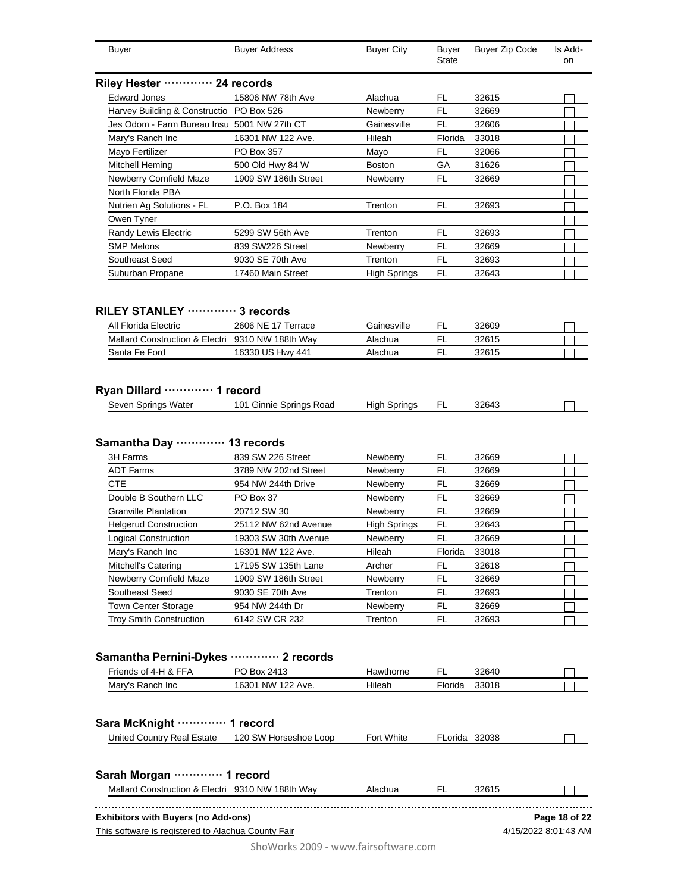| <b>Buyer</b>                                                  | <b>Buyer Address</b>                      | <b>Buyer City</b>    | <b>Buyer</b><br>State | Buyer Zip Code       | Is Add-<br>on |
|---------------------------------------------------------------|-------------------------------------------|----------------------|-----------------------|----------------------|---------------|
| Riley Hester ………… 24 records                                  |                                           |                      |                       |                      |               |
| <b>Edward Jones</b>                                           | 15806 NW 78th Ave                         | Alachua              | FL.                   | 32615                |               |
| Harvey Building & Constructio PO Box 526                      |                                           | Newberry             | <b>FL</b>             | 32669                |               |
| Jes Odom - Farm Bureau Insu 5001 NW 27th CT                   |                                           | Gainesville          | FL                    | 32606                |               |
| Mary's Ranch Inc                                              | 16301 NW 122 Ave.                         | Hileah               | Florida               | 33018                |               |
| Mayo Fertilizer                                               | PO Box 357                                | Mayo                 | FL                    | 32066                |               |
| Mitchell Heming                                               | 500 Old Hwy 84 W                          | <b>Boston</b>        | GА                    | 31626                |               |
| Newberry Cornfield Maze                                       | 1909 SW 186th Street                      | Newberry             | FL                    | 32669                |               |
| North Florida PBA                                             |                                           |                      |                       |                      |               |
| Nutrien Ag Solutions - FL                                     | P.O. Box 184                              | Trenton              | FL                    | 32693                |               |
|                                                               |                                           |                      |                       |                      |               |
| Owen Tyner                                                    |                                           |                      |                       |                      |               |
| Randy Lewis Electric                                          | 5299 SW 56th Ave                          | Trenton              | FL                    | 32693                |               |
| <b>SMP Melons</b>                                             | 839 SW226 Street                          | Newberry             | FL                    | 32669                |               |
| Southeast Seed                                                | 9030 SE 70th Ave                          | Trenton              | FL                    | 32693                |               |
| Suburban Propane                                              | 17460 Main Street                         | <b>High Springs</b>  | FL                    | 32643                |               |
| RILEY STANLEY  3 records                                      |                                           |                      |                       |                      |               |
| All Florida Electric                                          | 2606 NE 17 Terrace                        | Gainesville          | FL                    | 32609                |               |
| Mallard Construction & Electri 9310 NW 188th Way              |                                           | Alachua              | <b>FL</b>             | 32615                |               |
| Santa Fe Ford                                                 | 16330 US Hwy 441                          | Alachua              | FL                    | 32615                |               |
|                                                               |                                           |                      |                       |                      |               |
| Ryan Dillard  1 record                                        |                                           |                      |                       |                      |               |
| Seven Springs Water                                           | 101 Ginnie Springs Road                   | <b>High Springs</b>  | FL                    | 32643                |               |
| 3H Farms<br><b>ADT Farms</b>                                  | 839 SW 226 Street<br>3789 NW 202nd Street | Newberry<br>Newberry | FL<br>FI.             | 32669<br>32669       |               |
| <b>CTE</b>                                                    | 954 NW 244th Drive                        | Newberry             | FL                    | 32669                |               |
| Double B Southern LLC                                         | PO Box 37                                 | Newberry             | <b>FL</b>             | 32669                |               |
| <b>Granville Plantation</b>                                   | 20712 SW 30                               | Newberry             | <b>FL</b>             | 32669                |               |
| <b>Helgerud Construction</b>                                  | 25112 NW 62nd Avenue                      | <b>High Springs</b>  | FL                    | 32643                |               |
| <b>Logical Construction</b>                                   | 19303 SW 30th Avenue                      | Newberry             | <b>FL</b>             | 32669                |               |
| Mary's Ranch Inc                                              | 16301 NW 122 Ave.                         | Hileah               | Florida               | 33018                | $\mathbf{I}$  |
| Mitchell's Catering                                           | 17195 SW 135th Lane                       | Archer               | FL                    | 32618                |               |
| Newberry Cornfield Maze                                       | 1909 SW 186th Street                      | Newberry             | FL                    | 32669                |               |
| Southeast Seed                                                | 9030 SE 70th Ave                          | Trenton              | FL                    | 32693                |               |
| <b>Town Center Storage</b>                                    | 954 NW 244th Dr                           | Newberry             | FL                    | 32669                |               |
| <b>Troy Smith Construction</b>                                |                                           |                      |                       |                      |               |
|                                                               | 6142 SW CR 232                            | Trenton              | FL                    | 32693                |               |
| Samantha Pernini-Dykes ………… 2 records<br>Friends of 4-H & FFA | PO Box 2413                               | Hawthorne            | FL.                   | 32640                |               |
| Mary's Ranch Inc                                              | 16301 NW 122 Ave.                         | Hileah               | Florida               | 33018                |               |
|                                                               |                                           |                      |                       |                      |               |
| Sara McKnight ………… 1 record                                   |                                           |                      |                       |                      |               |
| United Country Real Estate                                    | 120 SW Horseshoe Loop                     | Fort White           | FLorida 32038         |                      |               |
| Sarah Morgan  1 record                                        |                                           |                      |                       |                      |               |
| Mallard Construction & Electri 9310 NW 188th Way              |                                           | Alachua              | FL.                   | 32615                |               |
| <b>Exhibitors with Buyers (no Add-ons)</b>                    |                                           |                      |                       |                      | Page 18 of 22 |
| This software is registered to Alachua County Fair            |                                           |                      |                       | 4/15/2022 8:01:43 AM |               |
|                                                               |                                           |                      |                       |                      |               |
|                                                               | ShoWorks 2009 - www.fairsoftware.com      |                      |                       |                      |               |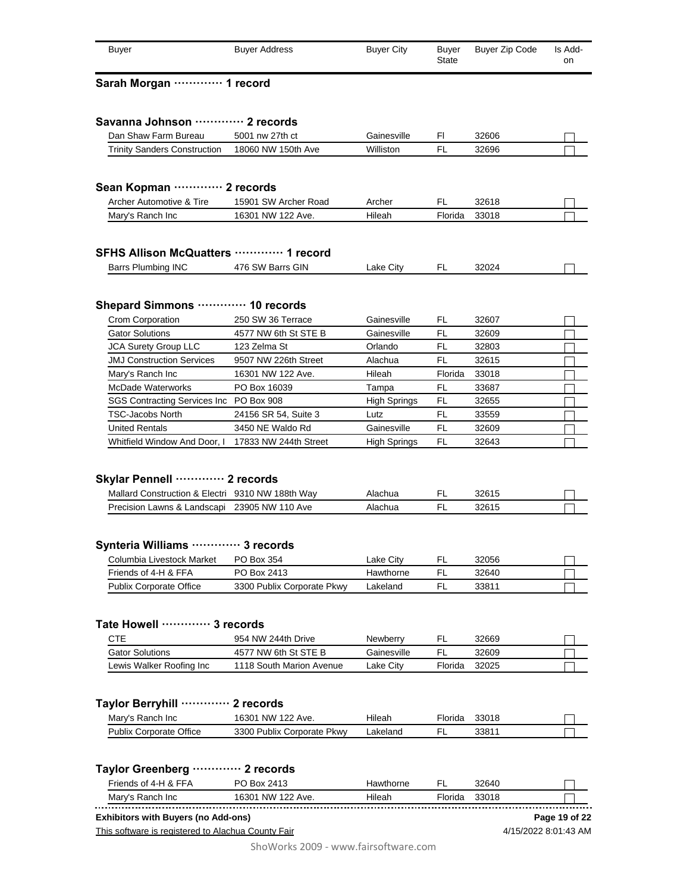| <b>Buyer</b>                                                                      | <b>Buyer Address</b>           | <b>Buyer City</b>   | <b>Buyer</b><br>State | <b>Buyer Zip Code</b> | Is Add-<br>on |
|-----------------------------------------------------------------------------------|--------------------------------|---------------------|-----------------------|-----------------------|---------------|
| Sarah Morgan  1 record                                                            |                                |                     |                       |                       |               |
|                                                                                   |                                |                     |                       |                       |               |
| Savanna Johnson ………… 2 records                                                    |                                |                     |                       |                       |               |
| Dan Shaw Farm Bureau                                                              | 5001 nw 27th ct                | Gainesville         | FI.                   | 32606                 |               |
| <b>Trinity Sanders Construction</b>                                               | 18060 NW 150th Ave             | Williston           | FL                    | 32696                 |               |
| Sean Kopman  2 records                                                            |                                |                     |                       |                       |               |
| Archer Automotive & Tire                                                          | 15901 SW Archer Road           | Archer              | FL                    | 32618                 |               |
| Mary's Ranch Inc                                                                  | 16301 NW 122 Ave.              | Hileah              | Florida               | 33018                 |               |
| SFHS Allison McQuatters  1 record                                                 |                                |                     |                       |                       |               |
| <b>Barrs Plumbing INC</b>                                                         | 476 SW Barrs GIN               | Lake City           | FL                    | 32024                 |               |
| Shepard Simmons  10 records                                                       |                                |                     |                       |                       |               |
| Crom Corporation                                                                  | 250 SW 36 Terrace              | Gainesville         | FL.                   | 32607                 |               |
| <b>Gator Solutions</b>                                                            | 4577 NW 6th St STE B           | Gainesville         | FL                    | 32609                 |               |
| <b>JCA Surety Group LLC</b>                                                       | 123 Zelma St                   | Orlando             | FL                    | 32803                 |               |
| <b>JMJ Construction Services</b>                                                  | 9507 NW 226th Street           | Alachua             | FL                    | 32615                 |               |
| Mary's Ranch Inc                                                                  | 16301 NW 122 Ave.              | Hileah              | Florida               | 33018                 |               |
| McDade Waterworks                                                                 | PO Box 16039                   | Tampa               | FL                    | 33687                 |               |
| SGS Contracting Services Inc PO Box 908                                           |                                | <b>High Springs</b> | FL                    | 32655                 |               |
| <b>TSC-Jacobs North</b>                                                           | 24156 SR 54, Suite 3           | Lutz                | FL                    | 33559                 |               |
| <b>United Rentals</b>                                                             | 3450 NE Waldo Rd               | Gainesville         | FL                    | 32609                 |               |
| Whitfield Window And Door, I                                                      | 17833 NW 244th Street          | <b>High Springs</b> | FL                    | 32643                 |               |
| Skylar Pennell ………… 2 records<br>Mallard Construction & Electri 9310 NW 188th Way |                                | Alachua             | FL                    | 32615                 |               |
| Precision Lawns & Landscapi 23905 NW 110 Ave                                      |                                | Alachua             | <b>FL</b>             | 32615                 |               |
| Synteria Williams  3 records<br>Columbia Livestock Market                         | PO Box 354                     | Lake City           | FL                    | 32056                 |               |
| Friends of 4-H & FFA                                                              | PO Box 2413                    | Hawthorne           | FL                    | 32640                 |               |
| <b>Publix Corporate Office</b>                                                    | 3300 Publix Corporate Pkwy     | Lakeland            | FL                    | 33811                 |               |
| Tate Howell ………… 3 records<br><b>CTE</b>                                          | 954 NW 244th Drive             | Newberry            | FL                    | 32669                 |               |
| <b>Gator Solutions</b>                                                            | 4577 NW 6th St STE B           | Gainesville         | <b>FL</b>             | 32609                 |               |
| Lewis Walker Roofing Inc                                                          | 1118 South Marion Avenue       | Lake City           | Florida               | 32025                 |               |
|                                                                                   |                                |                     |                       |                       |               |
| Taylor Berryhill .<br><br>Mary's Ranch Inc                                        | 2 records<br>16301 NW 122 Ave. | Hileah              | Florida               | 33018                 |               |
| <b>Publix Corporate Office</b>                                                    | 3300 Publix Corporate Pkwy     | Lakeland            | <b>FL</b>             | 33811                 |               |
|                                                                                   |                                |                     |                       |                       |               |
| Taylor Greenberg  2 records                                                       |                                |                     |                       |                       |               |
| Friends of 4-H & FFA                                                              | PO Box 2413                    | Hawthorne           | FL                    | 32640                 |               |
| Mary's Ranch Inc                                                                  | 16301 NW 122 Ave.              | Hileah              | Florida               | 33018                 |               |
| <b>Exhibitors with Buyers (no Add-ons)</b>                                        |                                |                     |                       |                       | Page 19 of 22 |
| This software is registered to Alachua County Fair                                |                                |                     |                       | 4/15/2022 8:01:43 AM  |               |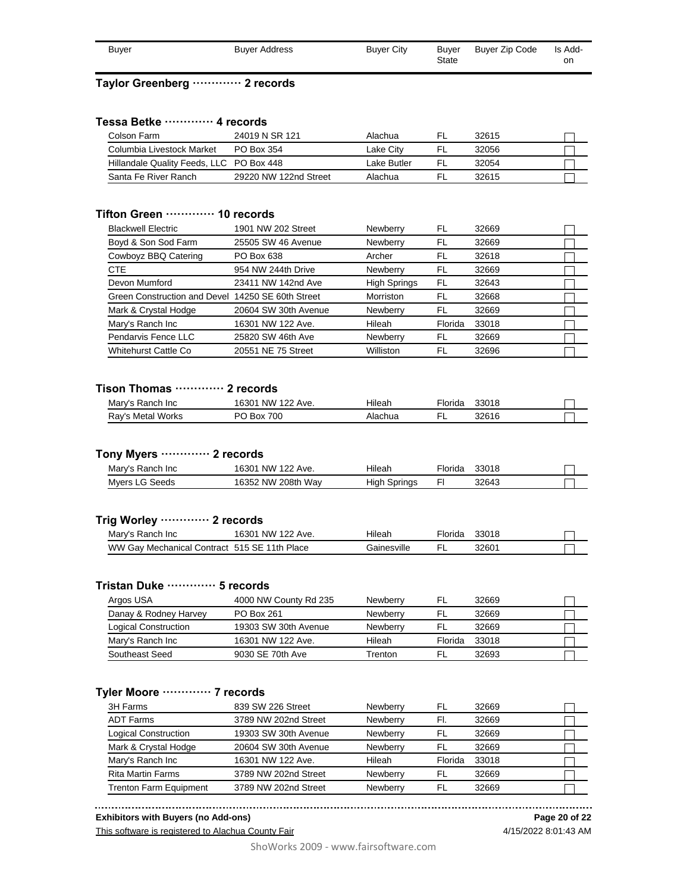| Buyer | <b>Buyer Address</b> | <b>Buyer City</b> | Buver | Buver Zip Code | Is Add- |
|-------|----------------------|-------------------|-------|----------------|---------|
|       |                      |                   | State |                | on      |

#### **Taylor Greenberg ············· 2 records**

#### **Tessa Betke ············· 4 records**

| Colson Farm                              | 24019 N SR 121        | Alachua     | 32615 |  |
|------------------------------------------|-----------------------|-------------|-------|--|
| Columbia Livestock Market                | PO Box 354            | Lake Citv   | 32056 |  |
| Hillandale Quality Feeds, LLC PO Box 448 |                       | Lake Butler | 32054 |  |
| Santa Fe River Ranch                     | 29220 NW 122nd Street | Alachua     | 32615 |  |

#### **Tifton Green ············· 10 records**

| <b>Blackwell Electric</b>                         | 1901 NW 202 Street   | Newberry            | FL      | 32669 |  |
|---------------------------------------------------|----------------------|---------------------|---------|-------|--|
| Boyd & Son Sod Farm                               | 25505 SW 46 Avenue   | Newberry            | FL      | 32669 |  |
| Cowboyz BBQ Catering                              | PO Box 638           | Archer              | FL      | 32618 |  |
| CTE                                               | 954 NW 244th Drive   | Newberry            | FL      | 32669 |  |
| Devon Mumford                                     | 23411 NW 142nd Ave   | <b>High Springs</b> | FL      | 32643 |  |
| Green Construction and Devel 14250 SE 60th Street |                      | Morriston           | FL      | 32668 |  |
| Mark & Crystal Hodge                              | 20604 SW 30th Avenue | Newberry            | FL      | 32669 |  |
| Mary's Ranch Inc                                  | 16301 NW 122 Ave.    | Hileah              | Florida | 33018 |  |
| Pendarvis Fence LLC                               | 25820 SW 46th Ave    | Newberry            | FL      | 32669 |  |
| <b>Whitehurst Cattle Co</b>                       | 20551 NE 75 Street   | Williston           | FL      | 32696 |  |

#### **Tison Thomas ············· 2 records**

| Mary's Ranch Inc  | 16301 NW 122 Ave. | Hileah  | <sup>≔</sup> lorida | 33018 |  |
|-------------------|-------------------|---------|---------------------|-------|--|
| Ray's Metal Works | <b>Box 700</b>    | Alachua |                     | 32616 |  |

## **Tony Myers ············· 2 records**

| Mary's Ranch Inc | 16301 NW 122 Ave.  | Hileah       | Florida | 33018 |  |
|------------------|--------------------|--------------|---------|-------|--|
| Myers LG Seeds   | 16352 NW 208th Wav | High Springs |         | 32643 |  |

#### **Trig Worley ············· 2 records**

| Mary's Ranch Inc                             | 16301 NW 122 Ave. | Hileah      | Florida | 33018 |  |
|----------------------------------------------|-------------------|-------------|---------|-------|--|
| WW Gay Mechanical Contract 515 SE 11th Place |                   | Gainesville |         | 3260′ |  |

#### **Tristan Duke ············· 5 records**

| Argos USA             | 4000 NW County Rd 235 | <b>Newberry</b> |         | 32669 |  |
|-----------------------|-----------------------|-----------------|---------|-------|--|
| Danay & Rodney Harvey | PO Box 261            | <b>Newberry</b> | ٢L      | 32669 |  |
| Logical Construction  | 19303 SW 30th Avenue  | <b>Newberry</b> | FL      | 32669 |  |
| Mary's Ranch Inc      | 16301 NW 122 Ave.     | Hileah          | Florida | 33018 |  |
| Southeast Seed        | 9030 SE 70th Ave      | Trenton         |         | 32693 |  |

#### **Tyler Moore ············· 7 records**

| 3H Farms                      | 839 SW 226 Street    | Newberry | FL      | 32669 |  |
|-------------------------------|----------------------|----------|---------|-------|--|
| <b>ADT Farms</b>              | 3789 NW 202nd Street | Newberry | FI.     | 32669 |  |
| <b>Logical Construction</b>   | 19303 SW 30th Avenue | Newberry | FL      | 32669 |  |
| Mark & Crystal Hodge          | 20604 SW 30th Avenue | Newberry | FL      | 32669 |  |
| Mary's Ranch Inc              | 16301 NW 122 Ave.    | Hileah   | Florida | 33018 |  |
| <b>Rita Martin Farms</b>      | 3789 NW 202nd Street | Newberry | FL      | 32669 |  |
| <b>Trenton Farm Equipment</b> | 3789 NW 202nd Street | Newberry |         | 32669 |  |

**Exhibitors with Buyers (no Add-ons)**

This software is registered to Alachua County Fair

4/15/2022 8:01:43 AM **Page 20 of 22**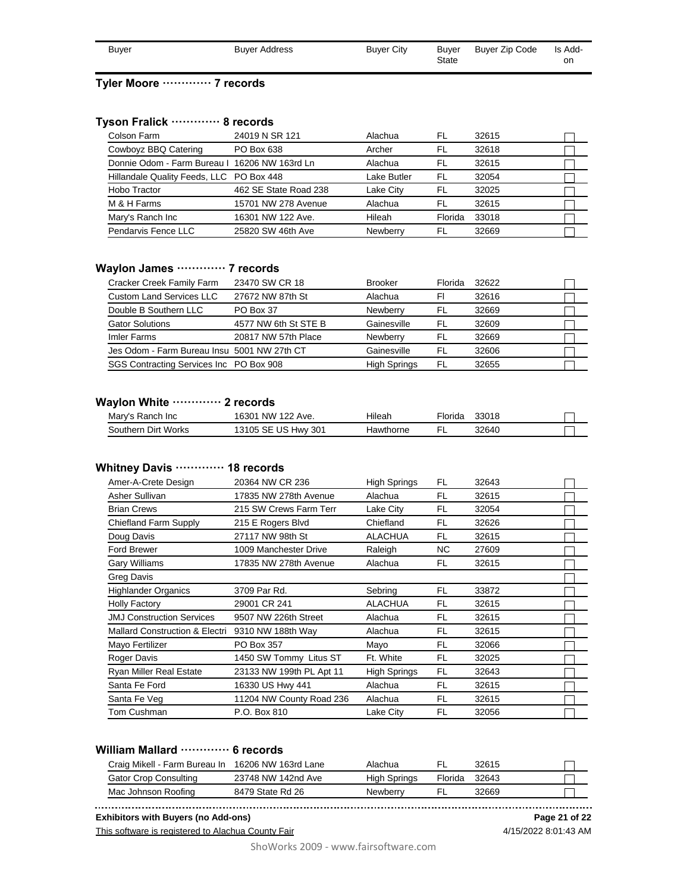| Buyer | <b>Buyer Address</b> | <b>Buyer City</b> | Buyer | Buyer Zip Code | Is Add- |
|-------|----------------------|-------------------|-------|----------------|---------|
|       |                      |                   | State |                | on      |

## **Tyler Moore ············· 7 records**

#### **Tyson Fralick ············· 8 records**

| Colson Farm                                   | 24019 N SR 121        | Alachua     | FL      | 32615 |  |
|-----------------------------------------------|-----------------------|-------------|---------|-------|--|
| Cowboyz BBQ Catering                          | PO Box 638            | Archer      | FL      | 32618 |  |
| Donnie Odom - Farm Bureau I 16206 NW 163rd Ln |                       | Alachua     | FL.     | 32615 |  |
| Hillandale Quality Feeds, LLC PO Box 448      |                       | Lake Butler | FL      | 32054 |  |
| Hobo Tractor                                  | 462 SE State Road 238 | Lake City   | - FL    | 32025 |  |
| M & H Farms                                   | 15701 NW 278 Avenue   | Alachua     | FL.     | 32615 |  |
| Mary's Ranch Inc                              | 16301 NW 122 Ave.     | Hileah      | Florida | 33018 |  |
| Pendarvis Fence LLC                           | 25820 SW 46th Ave     | Newberry    | FI      | 32669 |  |

#### **Waylon James ············· 7 records**

| Cracker Creek Family Farm                   | 23470 SW CR 18       | <b>Brooker</b>      | Florida | 32622 |  |
|---------------------------------------------|----------------------|---------------------|---------|-------|--|
| <b>Custom Land Services LLC</b>             | 27672 NW 87th St     | Alachua             | FI      | 32616 |  |
| Double B Southern LLC                       | PO Box 37            | Newberry            | FI.     | 32669 |  |
| <b>Gator Solutions</b>                      | 4577 NW 6th St STE B | Gainesville         | FL      | 32609 |  |
| Imler Farms                                 | 20817 NW 57th Place  | Newberry            | FL      | 32669 |  |
| Jes Odom - Farm Bureau Insu 5001 NW 27th CT |                      | Gainesville         | FL      | 32606 |  |
| SGS Contracting Services Inc PO Box 908     |                      | <b>High Springs</b> | FL.     | 32655 |  |

#### **Waylon White ············· 2 records**

| Mary's Ranch Inc    | 16301 NW 122 Ave.   | Hilear    | Florida | 33018 |  |
|---------------------|---------------------|-----------|---------|-------|--|
| Southern Dirt Works | 13105 SE US Hwy 301 | Hawthorne |         | 32640 |  |

#### **Whitney Davis ············· 18 records**

| Amer-A-Crete Design                       | 20364 NW CR 236          | <b>High Springs</b> | FL  | 32643 |  |
|-------------------------------------------|--------------------------|---------------------|-----|-------|--|
| Asher Sullivan                            | 17835 NW 278th Avenue    | Alachua             | FL  | 32615 |  |
| <b>Brian Crews</b>                        | 215 SW Crews Farm Terr   | Lake Citv           | FL  | 32054 |  |
| Chiefland Farm Supply                     | 215 E Rogers Blvd        | Chiefland           | FL  | 32626 |  |
| Doug Davis                                | 27117 NW 98th St         | <b>ALACHUA</b>      | FL  | 32615 |  |
| <b>Ford Brewer</b>                        | 1009 Manchester Drive    | Raleigh             | NC. | 27609 |  |
| <b>Gary Williams</b>                      | 17835 NW 278th Avenue    | Alachua             | FL  | 32615 |  |
| Greg Davis                                |                          |                     |     |       |  |
| <b>Highlander Organics</b>                | 3709 Par Rd.             | Sebring             | FL  | 33872 |  |
| <b>Holly Factory</b>                      | 29001 CR 241             | <b>ALACHUA</b>      | FL  | 32615 |  |
| <b>JMJ Construction Services</b>          | 9507 NW 226th Street     | Alachua             | FL  | 32615 |  |
| <b>Mallard Construction &amp; Electri</b> | 9310 NW 188th Way        | Alachua             | FL  | 32615 |  |
| Mayo Fertilizer                           | PO Box 357               | Mayo                | FL  | 32066 |  |
| Roger Davis                               | 1450 SW Tommy Litus ST   | Ft. White           | FL  | 32025 |  |
| <b>Ryan Miller Real Estate</b>            | 23133 NW 199th PL Apt 11 | <b>High Springs</b> | FL  | 32643 |  |
| Santa Fe Ford                             | 16330 US Hwy 441         | Alachua             | FL  | 32615 |  |
| Santa Fe Veg                              | 11204 NW County Road 236 | Alachua             | FL  | 32615 |  |
| Tom Cushman                               | P.O. Box 810             | Lake City           | FL  | 32056 |  |

## **William Mallard ············· 6 records**

| Craig Mikell - Farm Bureau In 16206 NW 163rd Lane |                    | Alachua      |         | 32615 |  |
|---------------------------------------------------|--------------------|--------------|---------|-------|--|
| Gator Crop Consulting                             | 23748 NW 142nd Ave | High Springs | Florida | 32643 |  |
| Mac Johnson Roofing                               | 8479 State Rd 26   | Newberry     |         | 32669 |  |

**Exhibitors with Buyers (no Add-ons)**

This software is registered to Alachua County Fair

4/15/2022 8:01:43 AM **Page 21 of 22**